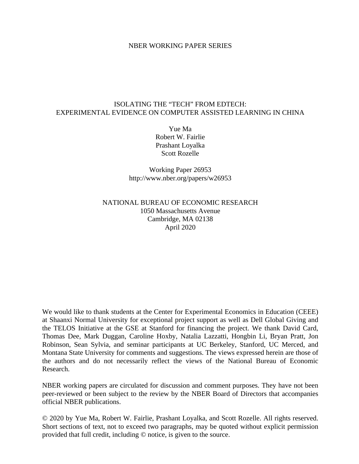#### NBER WORKING PAPER SERIES

#### ISOLATING THE "TECH" FROM EDTECH: EXPERIMENTAL EVIDENCE ON COMPUTER ASSISTED LEARNING IN CHINA

Yue Ma Robert W. Fairlie Prashant Loyalka Scott Rozelle

Working Paper 26953 http://www.nber.org/papers/w26953

# NATIONAL BUREAU OF ECONOMIC RESEARCH 1050 Massachusetts Avenue Cambridge, MA 02138 April 2020

We would like to thank students at the Center for Experimental Economics in Education (CEEE) at Shaanxi Normal University for exceptional project support as well as Dell Global Giving and the TELOS Initiative at the GSE at Stanford for financing the project. We thank David Card, Thomas Dee, Mark Duggan, Caroline Hoxby, Natalia Lazzatti, Hongbin Li, Bryan Pratt, Jon Robinson, Sean Sylvia, and seminar participants at UC Berkeley, Stanford, UC Merced, and Montana State University for comments and suggestions. The views expressed herein are those of the authors and do not necessarily reflect the views of the National Bureau of Economic Research.

NBER working papers are circulated for discussion and comment purposes. They have not been peer-reviewed or been subject to the review by the NBER Board of Directors that accompanies official NBER publications.

© 2020 by Yue Ma, Robert W. Fairlie, Prashant Loyalka, and Scott Rozelle. All rights reserved. Short sections of text, not to exceed two paragraphs, may be quoted without explicit permission provided that full credit, including © notice, is given to the source.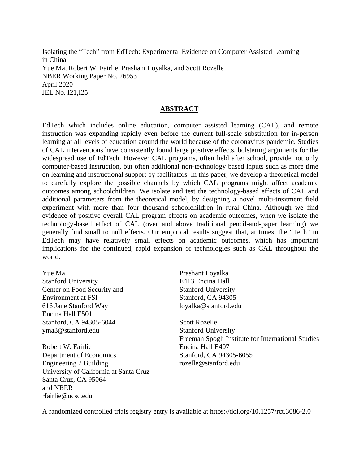Isolating the "Tech" from EdTech: Experimental Evidence on Computer Assisted Learning in China Yue Ma, Robert W. Fairlie, Prashant Loyalka, and Scott Rozelle NBER Working Paper No. 26953 April 2020 JEL No. I21,I25

#### **ABSTRACT**

EdTech which includes online education, computer assisted learning (CAL), and remote instruction was expanding rapidly even before the current full-scale substitution for in-person learning at all levels of education around the world because of the coronavirus pandemic. Studies of CAL interventions have consistently found large positive effects, bolstering arguments for the widespread use of EdTech. However CAL programs, often held after school, provide not only computer-based instruction, but often additional non-technology based inputs such as more time on learning and instructional support by facilitators. In this paper, we develop a theoretical model to carefully explore the possible channels by which CAL programs might affect academic outcomes among schoolchildren. We isolate and test the technology-based effects of CAL and additional parameters from the theoretical model, by designing a novel multi-treatment field experiment with more than four thousand schoolchildren in rural China. Although we find evidence of positive overall CAL program effects on academic outcomes, when we isolate the technology-based effect of CAL (over and above traditional pencil-and-paper learning) we generally find small to null effects. Our empirical results suggest that, at times, the "Tech" in EdTech may have relatively small effects on academic outcomes, which has important implications for the continued, rapid expansion of technologies such as CAL throughout the world.

Yue Ma Stanford University Center on Food Security and Environment at FSI 616 Jane Stanford Way Encina Hall E501 Stanford, CA 94305-6044 yma3@stanford.edu

Robert W. Fairlie Department of Economics Engineering 2 Building University of California at Santa Cruz Santa Cruz, CA 95064 and NBER rfairlie@ucsc.edu

Prashant Loyalka E413 Encina Hall Stanford University Stanford, CA 94305 loyalka@stanford.edu

Scott Rozelle Stanford University Freeman Spogli Institute for International Studies Encina Hall E407 Stanford, CA 94305-6055 rozelle@stanford.edu

A randomized controlled trials registry entry is available at https://doi.org/10.1257/rct.3086-2.0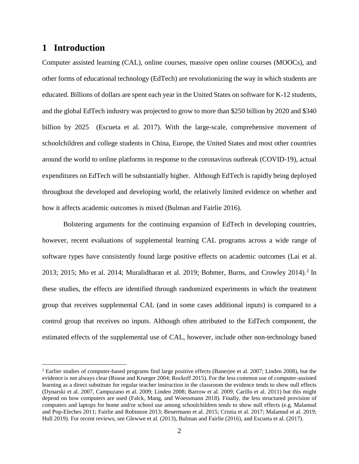# **1 Introduction**

 $\overline{a}$ 

Computer assisted learning (CAL), online courses, massive open online courses (MOOCs), and other forms of educational technology (EdTech) are revolutionizing the way in which students are educated. Billions of dollars are spent each year in the United States on software for K-12 students, and the global EdTech industry was projected to grow to more than \$250 billion by 2020 and \$340 billion by 2025 (Escueta et al. 2017). With the large-scale, comprehensive movement of schoolchildren and college students in China, Europe, the United States and most other countries around the world to online platforms in response to the coronavirus outbreak (COVID-19), actual expenditures on EdTech will be substantially higher. Although EdTech is rapidly being deployed throughout the developed and developing world, the relatively limited evidence on whether and how it affects academic outcomes is mixed (Bulman and Fairlie 2016).

Bolstering arguments for the continuing expansion of EdTech in developing countries, however, recent evaluations of supplemental learning CAL programs across a wide range of software types have consistently found large positive effects on academic outcomes (Lai et al. [2](#page-2-0)013; 2015; Mo et al. 2014; Muralidharan et al. 2019; Bohmer, Burns, and Crowley 2014).<sup>2</sup> In these studies, the effects are identified through randomized experiments in which the treatment group that receives supplemental CAL (and in some cases additional inputs) is compared to a control group that receives no inputs. Although often attributed to the EdTech component, the estimated effects of the supplemental use of CAL, however, include other non-technology based

<span id="page-2-0"></span><sup>&</sup>lt;sup>2</sup> Earlier studies of computer-based programs find large positive effects (Banerjee et al. 2007; Linden 2008), but the evidence is not always clear (Rouse and Krueger 2004; Rockoff 2015). For the less common use of computer-assisted learning as a direct substitute for regular teacher instruction in the classroom the evidence tends to show null effects (Dynarski et al. 2007, Campuzano et al. 2009; Linden 2008; Barrow et al. 2009; Carillo et al. 2011) but this might depend on how computers are used (Falck, Mang, and Woessmann 2018). Finally, the less structured provision of computers and laptops for home and/or school use among schoolchildren tends to show null effects (e.g. Malamud and Pop-Eleches 2011; Fairlie and Robinson 2013; Beuermann et al. 2015; Cristia et al. 2017; Malamud et al. 2019; Hull 2019). For recent reviews, see Glewwe et al. (2013), Bulman and Fairlie (2016), and Escueta et al. (2017).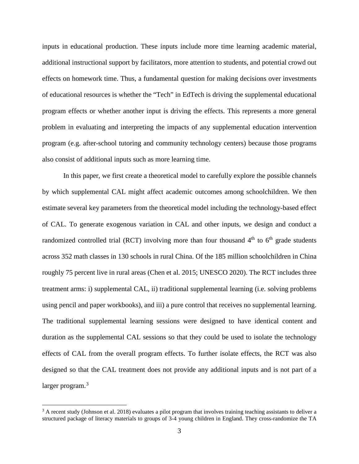inputs in educational production. These inputs include more time learning academic material, additional instructional support by facilitators, more attention to students, and potential crowd out effects on homework time. Thus, a fundamental question for making decisions over investments of educational resources is whether the "Tech" in EdTech is driving the supplemental educational program effects or whether another input is driving the effects. This represents a more general problem in evaluating and interpreting the impacts of any supplemental education intervention program (e.g. after-school tutoring and community technology centers) because those programs also consist of additional inputs such as more learning time.

In this paper, we first create a theoretical model to carefully explore the possible channels by which supplemental CAL might affect academic outcomes among schoolchildren. We then estimate several key parameters from the theoretical model including the technology-based effect of CAL. To generate exogenous variation in CAL and other inputs, we design and conduct a randomized controlled trial (RCT) involving more than four thousand  $4<sup>th</sup>$  to  $6<sup>th</sup>$  grade students across 352 math classes in 130 schools in rural China. Of the 185 million schoolchildren in China roughly 75 percent live in rural areas (Chen et al. 2015; UNESCO 2020). The RCT includes three treatment arms: i) supplemental CAL, ii) traditional supplemental learning (i.e. solving problems using pencil and paper workbooks), and iii) a pure control that receives no supplemental learning. The traditional supplemental learning sessions were designed to have identical content and duration as the supplemental CAL sessions so that they could be used to isolate the technology effects of CAL from the overall program effects. To further isolate effects, the RCT was also designed so that the CAL treatment does not provide any additional inputs and is not part of a larger program.<sup>[3](#page-3-0)</sup>

<span id="page-3-0"></span> $3$  A recent study (Johnson et al. 2018) evaluates a pilot program that involves training teaching assistants to deliver a structured package of literacy materials to groups of 3-4 young children in England. They cross-randomize the TA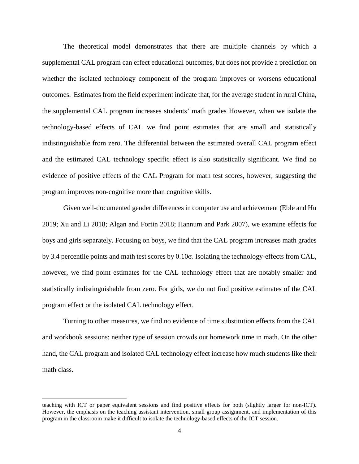The theoretical model demonstrates that there are multiple channels by which a supplemental CAL program can effect educational outcomes, but does not provide a prediction on whether the isolated technology component of the program improves or worsens educational outcomes. Estimates from the field experiment indicate that, for the average student in rural China, the supplemental CAL program increases students' math grades However, when we isolate the technology-based effects of CAL we find point estimates that are small and statistically indistinguishable from zero. The differential between the estimated overall CAL program effect and the estimated CAL technology specific effect is also statistically significant. We find no evidence of positive effects of the CAL Program for math test scores, however, suggesting the program improves non-cognitive more than cognitive skills.

Given well-documented gender differences in computer use and achievement (Eble and Hu 2019; Xu and Li 2018; Algan and Fortin 2018; Hannum and Park 2007), we examine effects for boys and girls separately. Focusing on boys, we find that the CAL program increases math grades by 3.4 percentile points and math test scores by 0.10σ. Isolating the technology-effects from CAL, however, we find point estimates for the CAL technology effect that are notably smaller and statistically indistinguishable from zero. For girls, we do not find positive estimates of the CAL program effect or the isolated CAL technology effect.

Turning to other measures, we find no evidence of time substitution effects from the CAL and workbook sessions: neither type of session crowds out homework time in math. On the other hand, the CAL program and isolated CAL technology effect increase how much students like their math class.

teaching with ICT or paper equivalent sessions and find positive effects for both (slightly larger for non-ICT). However, the emphasis on the teaching assistant intervention, small group assignment, and implementation of this program in the classroom make it difficult to isolate the technology-based effects of the ICT session.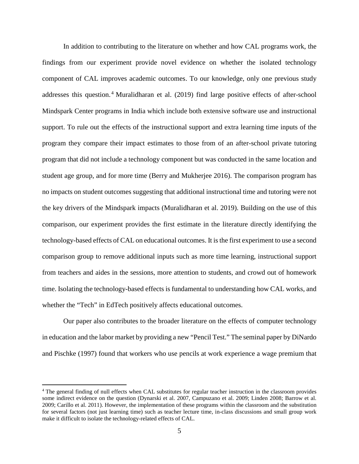In addition to contributing to the literature on whether and how CAL programs work, the findings from our experiment provide novel evidence on whether the isolated technology component of CAL improves academic outcomes. To our knowledge, only one previous study addresses this question.<sup>[4](#page-5-0)</sup> Muralidharan et al. (2019) find large positive effects of after-school Mindspark Center programs in India which include both extensive software use and instructional support. To rule out the effects of the instructional support and extra learning time inputs of the program they compare their impact estimates to those from of an after-school private tutoring program that did not include a technology component but was conducted in the same location and student age group, and for more time (Berry and Mukherjee 2016). The comparison program has no impacts on student outcomes suggesting that additional instructional time and tutoring were not the key drivers of the Mindspark impacts (Muralidharan et al. 2019). Building on the use of this comparison, our experiment provides the first estimate in the literature directly identifying the technology-based effects of CAL on educational outcomes. It is the first experiment to use a second comparison group to remove additional inputs such as more time learning, instructional support from teachers and aides in the sessions, more attention to students, and crowd out of homework time. Isolating the technology-based effects is fundamental to understanding how CAL works, and whether the "Tech" in EdTech positively affects educational outcomes.

Our paper also contributes to the broader literature on the effects of computer technology in education and the labor market by providing a new "Pencil Test." The seminal paper by DiNardo and Pischke (1997) found that workers who use pencils at work experience a wage premium that

<span id="page-5-0"></span><sup>&</sup>lt;sup>4</sup> The general finding of null effects when CAL substitutes for regular teacher instruction in the classroom provides some indirect evidence on the question (Dynarski et al. 2007, Campuzano et al. 2009; Linden 2008; Barrow et al. 2009; Carillo et al. 2011). However, the implementation of these programs within the classroom and the substitution for several factors (not just learning time) such as teacher lecture time, in-class discussions and small group work make it difficult to isolate the technology-related effects of CAL.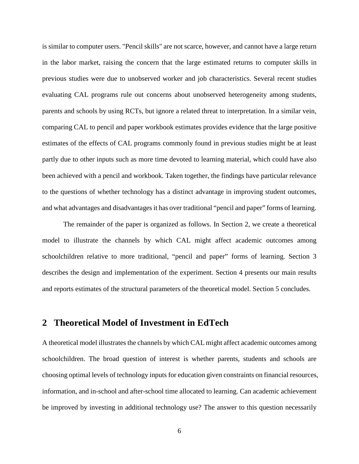is similar to computer users. "Pencil skills" are not scarce, however, and cannot have a large return in the labor market, raising the concern that the large estimated returns to computer skills in previous studies were due to unobserved worker and job characteristics. Several recent studies evaluating CAL programs rule out concerns about unobserved heterogeneity among students, parents and schools by using RCTs, but ignore a related threat to interpretation. In a similar vein, comparing CAL to pencil and paper workbook estimates provides evidence that the large positive estimates of the effects of CAL programs commonly found in previous studies might be at least partly due to other inputs such as more time devoted to learning material, which could have also been achieved with a pencil and workbook. Taken together, the findings have particular relevance to the questions of whether technology has a distinct advantage in improving student outcomes, and what advantages and disadvantages it has over traditional "pencil and paper" forms of learning.

The remainder of the paper is organized as follows. In Section 2, we create a theoretical model to illustrate the channels by which CAL might affect academic outcomes among schoolchildren relative to more traditional, "pencil and paper" forms of learning. Section 3 describes the design and implementation of the experiment. Section 4 presents our main results and reports estimates of the structural parameters of the theoretical model. Section 5 concludes.

# **2 Theoretical Model of Investment in EdTech**

A theoretical model illustrates the channels by which CAL might affect academic outcomes among schoolchildren. The broad question of interest is whether parents, students and schools are choosing optimal levels of technology inputs for education given constraints on financial resources, information, and in-school and after-school time allocated to learning. Can academic achievement be improved by investing in additional technology use? The answer to this question necessarily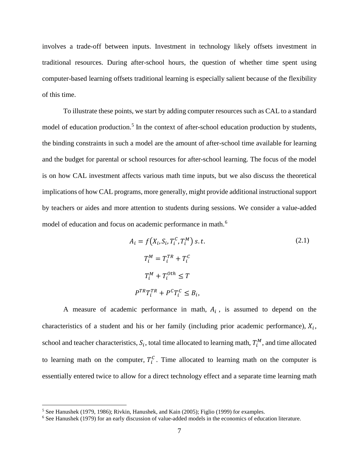involves a trade-off between inputs. Investment in technology likely offsets investment in traditional resources. During after-school hours, the question of whether time spent using computer-based learning offsets traditional learning is especially salient because of the flexibility of this time.

To illustrate these points, we start by adding computer resources such as CAL to a standard model of education production.<sup>[5](#page-7-0)</sup> In the context of after-school education production by students, the binding constraints in such a model are the amount of after-school time available for learning and the budget for parental or school resources for after-school learning. The focus of the model is on how CAL investment affects various math time inputs, but we also discuss the theoretical implications of how CAL programs, more generally, might provide additional instructional support by teachers or aides and more attention to students during sessions. We consider a value-added model of education and focus on academic performance in math.<sup>[6](#page-7-1)</sup>

$$
A_i = f(X_i, S_i, T_i^C, T_i^M) \text{ s.t.}
$$
\n
$$
T_i^M = T_i^{TR} + T_i^C
$$
\n
$$
T_i^M + T_i^{Oth} \le T
$$
\n
$$
P^{TR}T_i^{TR} + P^C T_i^C \le B_i,
$$
\n(2.1)

A measure of academic performance in math,  $A_i$ , is assumed to depend on the characteristics of a student and his or her family (including prior academic performance),  $X_i$ , school and teacher characteristics,  $S_i$ , total time allocated to learning math,  $T_i^M$ , and time allocated to learning math on the computer,  $T_i^C$ . Time allocated to learning math on the computer is essentially entered twice to allow for a direct technology effect and a separate time learning math

<span id="page-7-0"></span><sup>&</sup>lt;sup>5</sup> See Hanushek (1979, 1986); Rivkin, Hanushek, and Kain (2005); Figlio (1999) for examples.

<span id="page-7-1"></span><sup>&</sup>lt;sup>6</sup> See Hanushek (1979) for an early discussion of value-added models in the economics of education literature.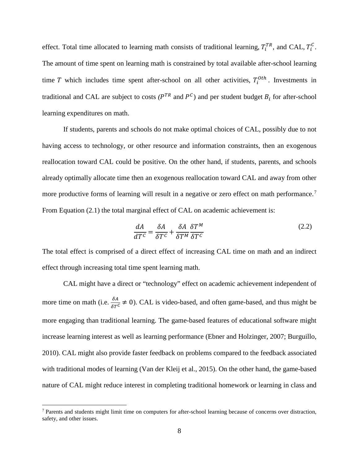effect. Total time allocated to learning math consists of traditional learning,  $T_i^{TR}$ , and CAL,  $T_i^C$ . The amount of time spent on learning math is constrained by total available after-school learning time T which includes time spent after-school on all other activities,  $T_i^{Oth}$ . Investments in traditional and CAL are subject to costs  $(P^{TR}$  and  $P^C)$  and per student budget  $B_i$  for after-school learning expenditures on math.

If students, parents and schools do not make optimal choices of CAL, possibly due to not having access to technology, or other resource and information constraints, then an exogenous reallocation toward CAL could be positive. On the other hand, if students, parents, and schools already optimally allocate time then an exogenous reallocation toward CAL and away from other more productive forms of learning will result in a negative or zero effect on math performance.<sup>[7](#page-8-0)</sup> From Equation (2.1) the total marginal effect of CAL on academic achievement is:

$$
\frac{dA}{dT^c} = \frac{\delta A}{\delta T^c} + \frac{\delta A}{\delta T^M} \frac{\delta T^M}{\delta T^c}
$$
 (2.2)

The total effect is comprised of a direct effect of increasing CAL time on math and an indirect effect through increasing total time spent learning math.

CAL might have a direct or "technology" effect on academic achievement independent of more time on math (i.e.  $\frac{\delta A}{\delta T^c} \neq 0$ ). CAL is video-based, and often game-based, and thus might be more engaging than traditional learning. The game-based features of educational software might increase learning interest as well as learning performance (Ebner and Holzinger, 2007; Burguillo, 2010). CAL might also provide faster feedback on problems compared to the feedback associated with traditional modes of learning (Van der Kleij et al., 2015). On the other hand, the game-based nature of CAL might reduce interest in completing traditional homework or learning in class and

<span id="page-8-0"></span><sup>7</sup> Parents and students might limit time on computers for after-school learning because of concerns over distraction, safety, and other issues.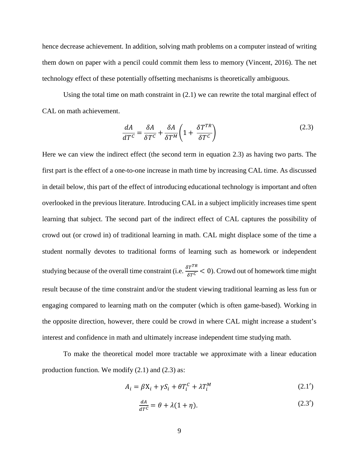hence decrease achievement. In addition, solving math problems on a computer instead of writing them down on paper with a pencil could commit them less to memory (Vincent, 2016). The net technology effect of these potentially offsetting mechanisms is theoretically ambiguous.

Using the total time on math constraint in  $(2.1)$  we can rewrite the total marginal effect of CAL on math achievement.

$$
\frac{dA}{dT^c} = \frac{\delta A}{\delta T^c} + \frac{\delta A}{\delta T^M} \left( 1 + \frac{\delta T^{TR}}{\delta T^c} \right)
$$
 (2.3)

Here we can view the indirect effect (the second term in equation 2.3) as having two parts. The first part is the effect of a one-to-one increase in math time by increasing CAL time. As discussed in detail below, this part of the effect of introducing educational technology is important and often overlooked in the previous literature. Introducing CAL in a subject implicitly increases time spent learning that subject. The second part of the indirect effect of CAL captures the possibility of crowd out (or crowd in) of traditional learning in math. CAL might displace some of the time a student normally devotes to traditional forms of learning such as homework or independent studying because of the overall time constraint (i.e.  $\frac{\delta T^{TR}}{\delta T^C}$  < 0). Crowd out of homework time might result because of the time constraint and/or the student viewing traditional learning as less fun or engaging compared to learning math on the computer (which is often game-based). Working in the opposite direction, however, there could be crowd in where CAL might increase a student's interest and confidence in math and ultimately increase independent time studying math.

To make the theoretical model more tractable we approximate with a linear education production function. We modify (2.1) and (2.3) as:

$$
A_i = \beta X_i + \gamma S_i + \theta T_i^C + \lambda T_i^M \tag{2.1'}
$$

$$
\frac{dA}{dT^c} = \theta + \lambda (1 + \eta). \tag{2.3'}
$$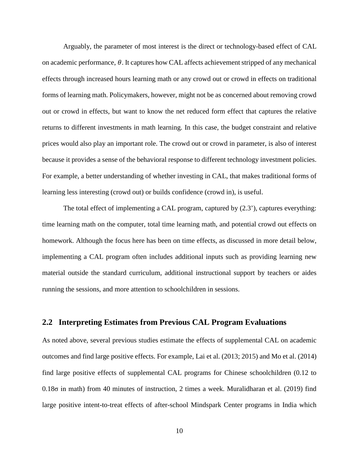Arguably, the parameter of most interest is the direct or technology-based effect of CAL on academic performance,  $\theta$ . It captures how CAL affects achievement stripped of any mechanical effects through increased hours learning math or any crowd out or crowd in effects on traditional forms of learning math. Policymakers, however, might not be as concerned about removing crowd out or crowd in effects, but want to know the net reduced form effect that captures the relative returns to different investments in math learning. In this case, the budget constraint and relative prices would also play an important role. The crowd out or crowd in parameter, is also of interest because it provides a sense of the behavioral response to different technology investment policies. For example, a better understanding of whether investing in CAL, that makes traditional forms of learning less interesting (crowd out) or builds confidence (crowd in), is useful.

The total effect of implementing a CAL program, captured by (2.3'), captures everything: time learning math on the computer, total time learning math, and potential crowd out effects on homework. Although the focus here has been on time effects, as discussed in more detail below, implementing a CAL program often includes additional inputs such as providing learning new material outside the standard curriculum, additional instructional support by teachers or aides running the sessions, and more attention to schoolchildren in sessions.

# **2.2 Interpreting Estimates from Previous CAL Program Evaluations**

As noted above, several previous studies estimate the effects of supplemental CAL on academic outcomes and find large positive effects. For example, Lai et al. (2013; 2015) and Mo et al. (2014) find large positive effects of supplemental CAL programs for Chinese schoolchildren (0.12 to 0.18σ in math) from 40 minutes of instruction, 2 times a week. Muralidharan et al. (2019) find large positive intent-to-treat effects of after-school Mindspark Center programs in India which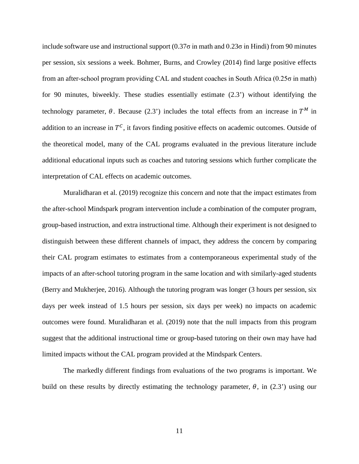include software use and instructional support  $(0.37\sigma)$  in math and  $0.23\sigma$  in Hindi) from 90 minutes per session, six sessions a week. Bohmer, Burns, and Crowley (2014) find large positive effects from an after-school program providing CAL and student coaches in South Africa (0.25σ in math) for 90 minutes, biweekly. These studies essentially estimate (2.3') without identifying the technology parameter,  $\theta$ . Because (2.3') includes the total effects from an increase in  $T^M$  in addition to an increase in  $T^c$ , it favors finding positive effects on academic outcomes. Outside of the theoretical model, many of the CAL programs evaluated in the previous literature include additional educational inputs such as coaches and tutoring sessions which further complicate the interpretation of CAL effects on academic outcomes.

Muralidharan et al. (2019) recognize this concern and note that the impact estimates from the after-school Mindspark program intervention include a combination of the computer program, group-based instruction, and extra instructional time. Although their experiment is not designed to distinguish between these different channels of impact, they address the concern by comparing their CAL program estimates to estimates from a contemporaneous experimental study of the impacts of an after-school tutoring program in the same location and with similarly-aged students (Berry and Mukherjee, 2016). Although the tutoring program was longer (3 hours per session, six days per week instead of 1.5 hours per session, six days per week) no impacts on academic outcomes were found. Muralidharan et al. (2019) note that the null impacts from this program suggest that the additional instructional time or group-based tutoring on their own may have had limited impacts without the CAL program provided at the Mindspark Centers.

The markedly different findings from evaluations of the two programs is important. We build on these results by directly estimating the technology parameter,  $\theta$ , in (2.3') using our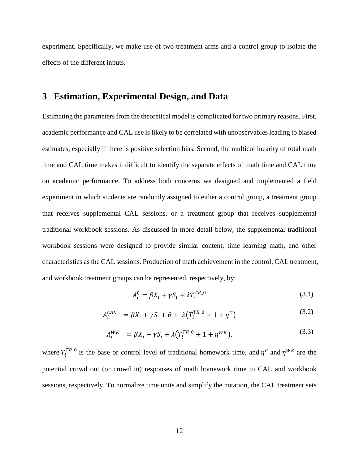experiment. Specifically, we make use of two treatment arms and a control group to isolate the effects of the different inputs.

# **3 Estimation, Experimental Design, and Data**

Estimating the parameters from the theoretical model is complicated for two primary reasons. First, academic performance and CAL use is likely to be correlated with unobservables leading to biased estimates, especially if there is positive selection bias. Second, the multicollinearity of total math time and CAL time makes it difficult to identify the separate effects of math time and CAL time on academic performance. To address both concerns we designed and implemented a field experiment in which students are randomly assigned to either a control group, a treatment group that receives supplemental CAL sessions, or a treatment group that receives supplemental traditional workbook sessions. As discussed in more detail below, the supplemental traditional workbook sessions were designed to provide similar content, time learning math, and other characteristics as the CAL sessions. Production of math achievement in the control, CAL treatment, and workbook treatment groups can be represented, respectively, by:

$$
A_i^0 = \beta X_i + \gamma S_i + \lambda T_i^{TR\_0}
$$
\n
$$
(3.1)
$$

$$
A_i^{CAL} = \beta X_i + \gamma S_i + \theta + \lambda (T_i^{TR\_0} + 1 + \eta^C)
$$
\n(3.2)

$$
A_i^{WK} = \beta X_i + \gamma S_i + \lambda (T_i^{TR\_0} + 1 + \eta^{WK}), \qquad (3.3)
$$

where  $T_i^{TR\_0}$  is the base or control level of traditional homework time, and  $\eta^c$  and  $\eta^{WK}$  are the potential crowd out (or crowd in) responses of math homework time to CAL and workbook sessions, respectively. To normalize time units and simplify the notation, the CAL treatment sets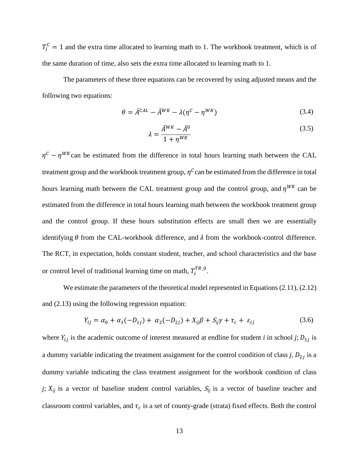$T_i^c = 1$  and the extra time allocated to learning math to 1. The workbook treatment, which is of the same duration of time, also sets the extra time allocated to learning math to 1.

The parameters of these three equations can be recovered by using adjusted means and the following two equations:

$$
\theta = \bar{A}^{CAL} - \bar{A}^{WK} - \lambda (\eta^C - \eta^{WK})
$$
\n(3.4)

$$
\lambda = \frac{\bar{A}^{WK} - \bar{A}^0}{1 + \eta^{WK}} \tag{3.5}
$$

 $\eta^c - \eta^{WK}$  can be estimated from the difference in total hours learning math between the CAL treatment group and the workbook treatment group,  $\eta^c$  can be estimated from the difference in total hours learning math between the CAL treatment group and the control group, and  $\eta^{WK}$  can be estimated from the difference in total hours learning math between the workbook treatment group and the control group. If these hours substitution effects are small then we are essentially identifying  $\theta$  from the CAL-workbook difference, and  $\lambda$  from the workbook-control difference. The RCT, in expectation, holds constant student, teacher, and school characteristics and the base or control level of traditional learning time on math,  $T_i^{TR\_0}$ .

We estimate the parameters of the theoretical model represented in Equations (2.11), (2.12) and (2.13) using the following regression equation:

$$
Y_{ij} = \alpha_0 + \alpha_1(-D_{1j}) + \alpha_2(-D_{2j}) + X_{ij}\beta + S_{ij}\gamma + \tau_c + \varepsilon_{ij}
$$
 (3.6)

where  $Y_{ij}$  is the academic outcome of interest measured at endline for student *i* in school *j*;  $D_{1j}$  is a dummy variable indicating the treatment assignment for the control condition of class  $j$ ,  $D_{2j}$  is a dummy variable indicating the class treatment assignment for the workbook condition of class *j*;  $X_{ij}$  is a vector of baseline student control variables,  $S_{ij}$  is a vector of baseline teacher and classroom control variables, and  $\tau_c$  is a set of county-grade (strata) fixed effects. Both the control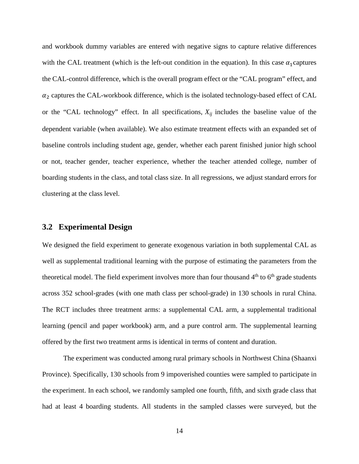and workbook dummy variables are entered with negative signs to capture relative differences with the CAL treatment (which is the left-out condition in the equation). In this case  $\alpha_1$  captures the CAL-control difference, which is the overall program effect or the "CAL program" effect, and  $\alpha_2$  captures the CAL-workbook difference, which is the isolated technology-based effect of CAL or the "CAL technology" effect. In all specifications,  $X_{ij}$  includes the baseline value of the dependent variable (when available). We also estimate treatment effects with an expanded set of baseline controls including student age, gender, whether each parent finished junior high school or not, teacher gender, teacher experience, whether the teacher attended college, number of boarding students in the class, and total class size. In all regressions, we adjust standard errors for clustering at the class level.

# **3.2 Experimental Design**

We designed the field experiment to generate exogenous variation in both supplemental CAL as well as supplemental traditional learning with the purpose of estimating the parameters from the theoretical model. The field experiment involves more than four thousand  $4<sup>th</sup>$  to  $6<sup>th</sup>$  grade students across 352 school-grades (with one math class per school-grade) in 130 schools in rural China. The RCT includes three treatment arms: a supplemental CAL arm, a supplemental traditional learning (pencil and paper workbook) arm, and a pure control arm. The supplemental learning offered by the first two treatment arms is identical in terms of content and duration.

The experiment was conducted among rural primary schools in Northwest China (Shaanxi Province). Specifically, 130 schools from 9 impoverished counties were sampled to participate in the experiment. In each school, we randomly sampled one fourth, fifth, and sixth grade class that had at least 4 boarding students. All students in the sampled classes were surveyed, but the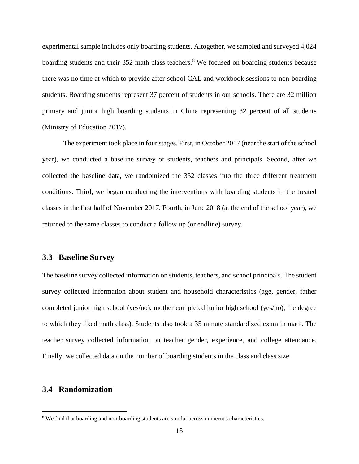experimental sample includes only boarding students. Altogether, we sampled and surveyed 4,024 boarding students and their 352 math class teachers.<sup>[8](#page-15-0)</sup> We focused on boarding students because there was no time at which to provide after-school CAL and workbook sessions to non-boarding students. Boarding students represent 37 percent of students in our schools. There are 32 million primary and junior high boarding students in China representing 32 percent of all students (Ministry of Education 2017).

The experiment took place in four stages. First, in October 2017 (near the start of the school year), we conducted a baseline survey of students, teachers and principals. Second, after we collected the baseline data, we randomized the 352 classes into the three different treatment conditions. Third, we began conducting the interventions with boarding students in the treated classes in the first half of November 2017. Fourth, in June 2018 (at the end of the school year), we returned to the same classes to conduct a follow up (or endline) survey.

### **3.3 Baseline Survey**

The baseline survey collected information on students, teachers, and school principals. The student survey collected information about student and household characteristics (age, gender, father completed junior high school (yes/no), mother completed junior high school (yes/no), the degree to which they liked math class). Students also took a 35 minute standardized exam in math. The teacher survey collected information on teacher gender, experience, and college attendance. Finally, we collected data on the number of boarding students in the class and class size.

### **3.4 Randomization**

<span id="page-15-0"></span><sup>&</sup>lt;sup>8</sup> We find that boarding and non-boarding students are similar across numerous characteristics.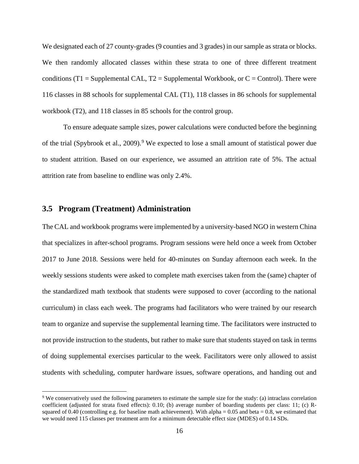We designated each of 27 county-grades (9 counties and 3 grades) in our sample as strata or blocks. We then randomly allocated classes within these strata to one of three different treatment conditions (T1 = Supplemental CAL, T2 = Supplemental Workbook, or  $C =$  Control). There were 116 classes in 88 schools for supplemental CAL (T1), 118 classes in 86 schools for supplemental workbook (T2), and 118 classes in 85 schools for the control group.

To ensure adequate sample sizes, power calculations were conducted before the beginning of the trial (Spybrook et al., 200[9](#page-16-0)).<sup>9</sup> We expected to lose a small amount of statistical power due to student attrition. Based on our experience, we assumed an attrition rate of 5%. The actual attrition rate from baseline to endline was only 2.4%.

# **3.5 Program (Treatment) Administration**

 $\overline{a}$ 

The CAL and workbook programs were implemented by a university-based NGO in western China that specializes in after-school programs. Program sessions were held once a week from October 2017 to June 2018. Sessions were held for 40-minutes on Sunday afternoon each week. In the weekly sessions students were asked to complete math exercises taken from the (same) chapter of the standardized math textbook that students were supposed to cover (according to the national curriculum) in class each week. The programs had facilitators who were trained by our research team to organize and supervise the supplemental learning time. The facilitators were instructed to not provide instruction to the students, but rather to make sure that students stayed on task in terms of doing supplemental exercises particular to the week. Facilitators were only allowed to assist students with scheduling, computer hardware issues, software operations, and handing out and

<span id="page-16-0"></span><sup>9</sup> We conservatively used the following parameters to estimate the sample size for the study: (a) intraclass correlation coefficient (adjusted for strata fixed effects): 0.10; (b) average number of boarding students per class: 11; (c) Rsquared of 0.40 (controlling e.g. for baseline math achievement). With alpha =  $0.05$  and beta =  $0.8$ , we estimated that we would need 115 classes per treatment arm for a minimum detectable effect size (MDES) of 0.14 SDs.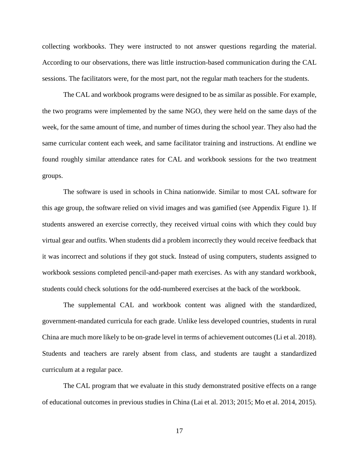collecting workbooks. They were instructed to not answer questions regarding the material. According to our observations, there was little instruction-based communication during the CAL sessions. The facilitators were, for the most part, not the regular math teachers for the students.

The CAL and workbook programs were designed to be as similar as possible. For example, the two programs were implemented by the same NGO, they were held on the same days of the week, for the same amount of time, and number of times during the school year. They also had the same curricular content each week, and same facilitator training and instructions. At endline we found roughly similar attendance rates for CAL and workbook sessions for the two treatment groups.

The software is used in schools in China nationwide. Similar to most CAL software for this age group, the software relied on vivid images and was gamified (see Appendix Figure 1). If students answered an exercise correctly, they received virtual coins with which they could buy virtual gear and outfits. When students did a problem incorrectly they would receive feedback that it was incorrect and solutions if they got stuck. Instead of using computers, students assigned to workbook sessions completed pencil-and-paper math exercises. As with any standard workbook, students could check solutions for the odd-numbered exercises at the back of the workbook.

The supplemental CAL and workbook content was aligned with the standardized, government-mandated curricula for each grade. Unlike less developed countries, students in rural China are much more likely to be on-grade level in terms of achievement outcomes (Li et al. 2018). Students and teachers are rarely absent from class, and students are taught a standardized curriculum at a regular pace.

The CAL program that we evaluate in this study demonstrated positive effects on a range of educational outcomes in previous studies in China (Lai et al. 2013; 2015; Mo et al. 2014, 2015).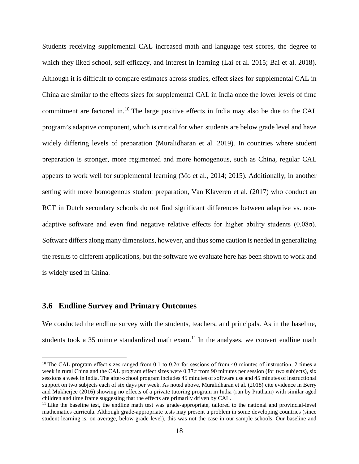Students receiving supplemental CAL increased math and language test scores, the degree to which they liked school, self-efficacy, and interest in learning (Lai et al. 2015; Bai et al. 2018). Although it is difficult to compare estimates across studies, effect sizes for supplemental CAL in China are similar to the effects sizes for supplemental CAL in India once the lower levels of time commitment are factored in.<sup>[10](#page-18-0)</sup> The large positive effects in India may also be due to the CAL program's adaptive component, which is critical for when students are below grade level and have widely differing levels of preparation (Muralidharan et al. 2019). In countries where student preparation is stronger, more regimented and more homogenous, such as China, regular CAL appears to work well for supplemental learning (Mo et al., 2014; 2015). Additionally, in another setting with more homogenous student preparation, Van Klaveren et al. (2017) who conduct an RCT in Dutch secondary schools do not find significant differences between adaptive vs. nonadaptive software and even find negative relative effects for higher ability students  $(0.08\sigma)$ . Software differs along many dimensions, however, and thus some caution is needed in generalizing the results to different applications, but the software we evaluate here has been shown to work and is widely used in China.

### **3.6 Endline Survey and Primary Outcomes**

 $\overline{a}$ 

We conducted the endline survey with the students, teachers, and principals. As in the baseline, students took a 35 minute standardized math exam.<sup>[11](#page-18-1)</sup> In the analyses, we convert endline math

<span id="page-18-0"></span><sup>&</sup>lt;sup>10</sup> The CAL program effect sizes ranged from 0.1 to 0.2 $\sigma$  for sessions of from 40 minutes of instruction, 2 times a week in rural China and the CAL program effect sizes were 0.37σ from 90 minutes per session (for two subjects), six sessions a week in India. The after-school program includes 45 minutes of software use and 45 minutes of instructional support on two subjects each of six days per week. As noted above, Muralidharan et al. (2018) cite evidence in Berry and Mukherjee (2016) showing no effects of a private tutoring program in India (run by Pratham) with similar aged children and time frame suggesting that the effects are primarily driven by CAL.

<span id="page-18-1"></span> $11$  Like the baseline test, the endline math test was grade-appropriate, tailored to the national and provincial-level mathematics curricula. Although grade-appropriate tests may present a problem in some developing countries (since student learning is, on average, below grade level), this was not the case in our sample schools. Our baseline and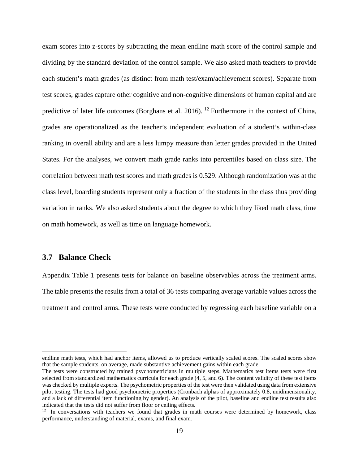exam scores into z-scores by subtracting the mean endline math score of the control sample and dividing by the standard deviation of the control sample. We also asked math teachers to provide each student's math grades (as distinct from math test/exam/achievement scores). Separate from test scores, grades capture other cognitive and non-cognitive dimensions of human capital and are predictive of later life outcomes (Borghans et al. 2016). <sup>[12](#page-19-0)</sup> Furthermore in the context of China, grades are operationalized as the teacher's independent evaluation of a student's within-class ranking in overall ability and are a less lumpy measure than letter grades provided in the United States. For the analyses, we convert math grade ranks into percentiles based on class size. The correlation between math test scores and math grades is 0.529. Although randomization was at the class level, boarding students represent only a fraction of the students in the class thus providing variation in ranks. We also asked students about the degree to which they liked math class, time on math homework, as well as time on language homework.

### **3.7 Balance Check**

 $\overline{a}$ 

Appendix Table 1 presents tests for balance on baseline observables across the treatment arms. The table presents the results from a total of 36 tests comparing average variable values across the treatment and control arms. These tests were conducted by regressing each baseline variable on a

endline math tests, which had anchor items, allowed us to produce vertically scaled scores. The scaled scores show that the sample students, on average, made substantive achievement gains within each grade.

The tests were constructed by trained psychometricians in multiple steps. Mathematics test items tests were first selected from standardized mathematics curricula for each grade  $(4, 5,$  and 6). The content validity of these test items was checked by multiple experts. The psychometric properties of the test were then validated using data from extensive pilot testing. The tests had good psychometric properties (Cronbach alphas of approximately 0.8, unidimensionality, and a lack of differential item functioning by gender). An analysis of the pilot, baseline and endline test results also indicated that the tests did not suffer from floor or ceiling effects.

<span id="page-19-0"></span> $12$  In conversations with teachers we found that grades in math courses were determined by homework, class performance, understanding of material, exams, and final exam.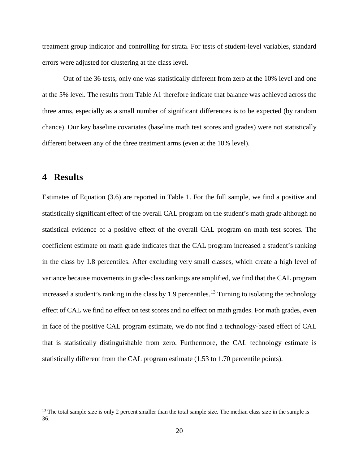treatment group indicator and controlling for strata. For tests of student-level variables, standard errors were adjusted for clustering at the class level.

Out of the 36 tests, only one was statistically different from zero at the 10% level and one at the 5% level. The results from Table A1 therefore indicate that balance was achieved across the three arms, especially as a small number of significant differences is to be expected (by random chance). Our key baseline covariates (baseline math test scores and grades) were not statistically different between any of the three treatment arms (even at the 10% level).

# **4 Results**

 $\overline{a}$ 

Estimates of Equation (3.6) are reported in Table 1. For the full sample, we find a positive and statistically significant effect of the overall CAL program on the student's math grade although no statistical evidence of a positive effect of the overall CAL program on math test scores. The coefficient estimate on math grade indicates that the CAL program increased a student's ranking in the class by 1.8 percentiles. After excluding very small classes, which create a high level of variance because movements in grade-class rankings are amplified, we find that the CAL program increased a student's ranking in the class by 1.9 percentiles. [13](#page-20-0) Turning to isolating the technology effect of CAL we find no effect on test scores and no effect on math grades. For math grades, even in face of the positive CAL program estimate, we do not find a technology-based effect of CAL that is statistically distinguishable from zero. Furthermore, the CAL technology estimate is statistically different from the CAL program estimate (1.53 to 1.70 percentile points).

<span id="page-20-0"></span> $13$  The total sample size is only 2 percent smaller than the total sample size. The median class size in the sample is 36.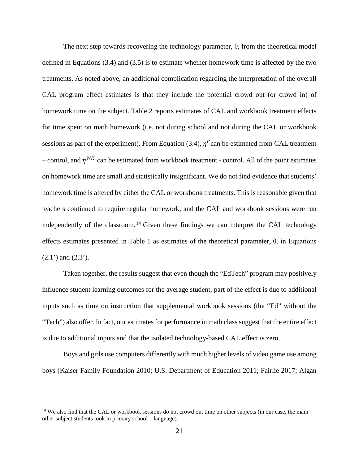The next step towards recovering the technology parameter,  $\theta$ , from the theoretical model defined in Equations (3.4) and (3.5) is to estimate whether homework time is affected by the two treatments. As noted above, an additional complication regarding the interpretation of the overall CAL program effect estimates is that they include the potential crowd out (or crowd in) of homework time on the subject. Table 2 reports estimates of CAL and workbook treatment effects for time spent on math homework (i.e. not during school and not during the CAL or workbook sessions as part of the experiment). From Equation (3.4),  $\eta^c$  can be estimated from CAL treatment – control, and  $\eta^{WK}$  can be estimated from workbook treatment - control. All of the point estimates on homework time are small and statistically insignificant. We do not find evidence that students' homework time is altered by either the CAL or workbook treatments. This is reasonable given that teachers continued to require regular homework, and the CAL and workbook sessions were run independently of the classroom.<sup>[14](#page-21-0)</sup> Given these findings we can interpret the CAL technology effects estimates presented in Table 1 as estimates of the theoretical parameter,  $\theta$ , in Equations  $(2.1')$  and  $(2.3')$ .

Taken together, the results suggest that even though the "EdTech" program may positively influence student learning outcomes for the average student, part of the effect is due to additional inputs such as time on instruction that supplemental workbook sessions (the "Ed" without the "Tech") also offer. In fact, our estimates for performance in math class suggest that the entire effect is due to additional inputs and that the isolated technology-based CAL effect is zero.

Boys and girls use computers differently with much higher levels of video game use among boys (Kaiser Family Foundation 2010; U.S. Department of Education 2011; Fairlie 2017; Algan

<span id="page-21-0"></span><sup>&</sup>lt;sup>14</sup> We also find that the CAL or workbook sessions do not crowd out time on other subjects (in our case, the main other subject students took in primary school – language).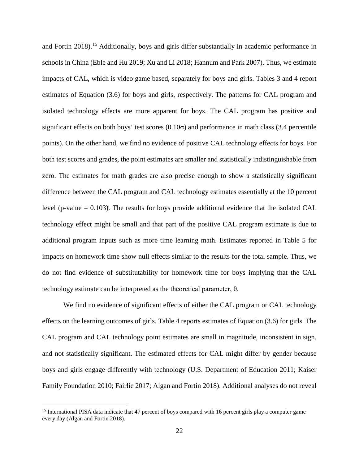and Fortin 2018).<sup>15</sup> Additionally, boys and girls differ substantially in academic performance in schools in China (Eble and Hu 2019; Xu and Li 2018; Hannum and Park 2007). Thus, we estimate impacts of CAL, which is video game based, separately for boys and girls. Tables 3 and 4 report estimates of Equation (3.6) for boys and girls, respectively. The patterns for CAL program and isolated technology effects are more apparent for boys. The CAL program has positive and significant effects on both boys' test scores  $(0.10\sigma)$  and performance in math class (3.4 percentile points). On the other hand, we find no evidence of positive CAL technology effects for boys. For both test scores and grades, the point estimates are smaller and statistically indistinguishable from zero. The estimates for math grades are also precise enough to show a statistically significant difference between the CAL program and CAL technology estimates essentially at the 10 percent level (p-value  $= 0.103$ ). The results for boys provide additional evidence that the isolated CAL technology effect might be small and that part of the positive CAL program estimate is due to additional program inputs such as more time learning math. Estimates reported in Table 5 for impacts on homework time show null effects similar to the results for the total sample. Thus, we do not find evidence of substitutability for homework time for boys implying that the CAL technology estimate can be interpreted as the theoretical parameter, θ.

We find no evidence of significant effects of either the CAL program or CAL technology effects on the learning outcomes of girls. Table 4 reports estimates of Equation (3.6) for girls. The CAL program and CAL technology point estimates are small in magnitude, inconsistent in sign, and not statistically significant. The estimated effects for CAL might differ by gender because boys and girls engage differently with technology (U.S. Department of Education 2011; Kaiser Family Foundation 2010; Fairlie 2017; Algan and Fortin 2018). Additional analyses do not reveal

<span id="page-22-0"></span><sup>&</sup>lt;sup>15</sup> International PISA data indicate that 47 percent of boys compared with 16 percent girls play a computer game every day (Algan and Fortin 2018).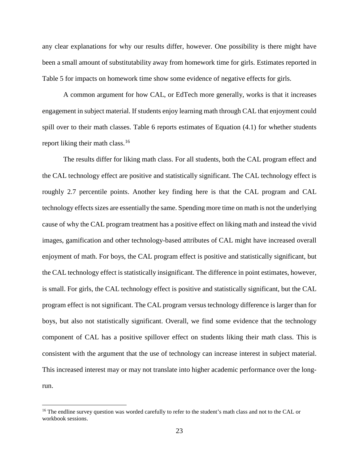any clear explanations for why our results differ, however. One possibility is there might have been a small amount of substitutability away from homework time for girls. Estimates reported in Table 5 for impacts on homework time show some evidence of negative effects for girls.

A common argument for how CAL, or EdTech more generally, works is that it increases engagement in subject material. If students enjoy learning math through CAL that enjoyment could spill over to their math classes. Table 6 reports estimates of Equation  $(4.1)$  for whether students report liking their math class.<sup>16</sup>

The results differ for liking math class. For all students, both the CAL program effect and the CAL technology effect are positive and statistically significant. The CAL technology effect is roughly 2.7 percentile points. Another key finding here is that the CAL program and CAL technology effects sizes are essentially the same. Spending more time on math is not the underlying cause of why the CAL program treatment has a positive effect on liking math and instead the vivid images, gamification and other technology-based attributes of CAL might have increased overall enjoyment of math. For boys, the CAL program effect is positive and statistically significant, but the CAL technology effect is statistically insignificant. The difference in point estimates, however, is small. For girls, the CAL technology effect is positive and statistically significant, but the CAL program effect is not significant. The CAL program versus technology difference is larger than for boys, but also not statistically significant. Overall, we find some evidence that the technology component of CAL has a positive spillover effect on students liking their math class. This is consistent with the argument that the use of technology can increase interest in subject material. This increased interest may or may not translate into higher academic performance over the longrun.

<span id="page-23-0"></span><sup>&</sup>lt;sup>16</sup> The endline survey question was worded carefully to refer to the student's math class and not to the CAL or workbook sessions.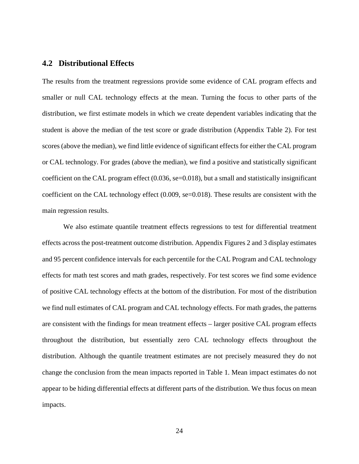# **4.2 Distributional Effects**

The results from the treatment regressions provide some evidence of CAL program effects and smaller or null CAL technology effects at the mean. Turning the focus to other parts of the distribution, we first estimate models in which we create dependent variables indicating that the student is above the median of the test score or grade distribution (Appendix Table 2). For test scores (above the median), we find little evidence of significant effects for either the CAL program or CAL technology. For grades (above the median), we find a positive and statistically significant coefficient on the CAL program effect  $(0.036, \text{se} = 0.018)$ , but a small and statistically insignificant coefficient on the CAL technology effect  $(0.009, \text{se}=0.018)$ . These results are consistent with the main regression results.

We also estimate quantile treatment effects regressions to test for differential treatment effects across the post-treatment outcome distribution. Appendix Figures 2 and 3 display estimates and 95 percent confidence intervals for each percentile for the CAL Program and CAL technology effects for math test scores and math grades, respectively. For test scores we find some evidence of positive CAL technology effects at the bottom of the distribution. For most of the distribution we find null estimates of CAL program and CAL technology effects. For math grades, the patterns are consistent with the findings for mean treatment effects – larger positive CAL program effects throughout the distribution, but essentially zero CAL technology effects throughout the distribution. Although the quantile treatment estimates are not precisely measured they do not change the conclusion from the mean impacts reported in Table 1. Mean impact estimates do not appear to be hiding differential effects at different parts of the distribution. We thus focus on mean impacts.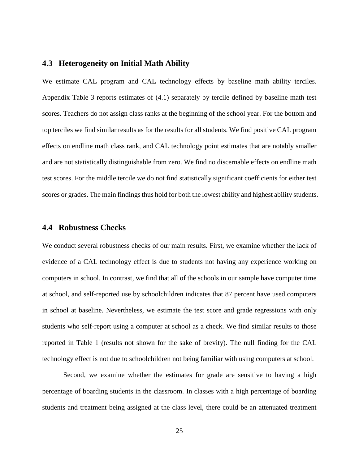### **4.3 Heterogeneity on Initial Math Ability**

We estimate CAL program and CAL technology effects by baseline math ability terciles. Appendix Table 3 reports estimates of (4.1) separately by tercile defined by baseline math test scores. Teachers do not assign class ranks at the beginning of the school year. For the bottom and top terciles we find similar results as for the results for all students. We find positive CAL program effects on endline math class rank, and CAL technology point estimates that are notably smaller and are not statistically distinguishable from zero. We find no discernable effects on endline math test scores. For the middle tercile we do not find statistically significant coefficients for either test scores or grades. The main findings thus hold for both the lowest ability and highest ability students.

#### **4.4 Robustness Checks**

We conduct several robustness checks of our main results. First, we examine whether the lack of evidence of a CAL technology effect is due to students not having any experience working on computers in school. In contrast, we find that all of the schools in our sample have computer time at school, and self-reported use by schoolchildren indicates that 87 percent have used computers in school at baseline. Nevertheless, we estimate the test score and grade regressions with only students who self-report using a computer at school as a check. We find similar results to those reported in Table 1 (results not shown for the sake of brevity). The null finding for the CAL technology effect is not due to schoolchildren not being familiar with using computers at school.

Second, we examine whether the estimates for grade are sensitive to having a high percentage of boarding students in the classroom. In classes with a high percentage of boarding students and treatment being assigned at the class level, there could be an attenuated treatment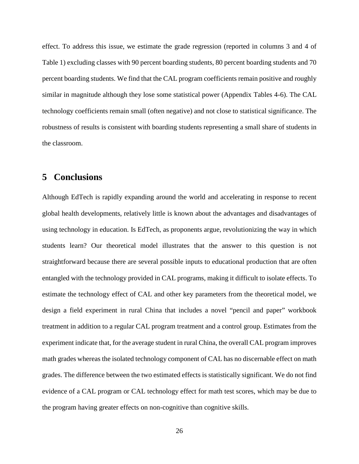effect. To address this issue, we estimate the grade regression (reported in columns 3 and 4 of Table 1) excluding classes with 90 percent boarding students, 80 percent boarding students and 70 percent boarding students. We find that the CAL program coefficients remain positive and roughly similar in magnitude although they lose some statistical power (Appendix Tables 4-6). The CAL technology coefficients remain small (often negative) and not close to statistical significance. The robustness of results is consistent with boarding students representing a small share of students in the classroom.

# **5 Conclusions**

Although EdTech is rapidly expanding around the world and accelerating in response to recent global health developments, relatively little is known about the advantages and disadvantages of using technology in education. Is EdTech, as proponents argue, revolutionizing the way in which students learn? Our theoretical model illustrates that the answer to this question is not straightforward because there are several possible inputs to educational production that are often entangled with the technology provided in CAL programs, making it difficult to isolate effects. To estimate the technology effect of CAL and other key parameters from the theoretical model, we design a field experiment in rural China that includes a novel "pencil and paper" workbook treatment in addition to a regular CAL program treatment and a control group. Estimates from the experiment indicate that, for the average student in rural China, the overall CAL program improves math grades whereas the isolated technology component of CAL has no discernable effect on math grades. The difference between the two estimated effects is statistically significant. We do not find evidence of a CAL program or CAL technology effect for math test scores, which may be due to the program having greater effects on non-cognitive than cognitive skills.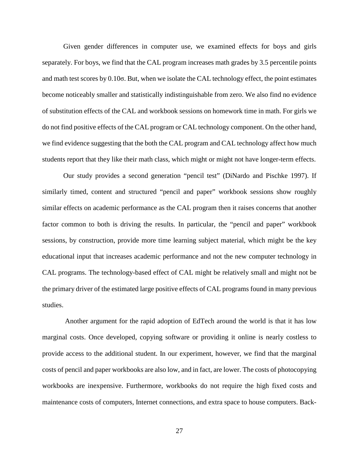Given gender differences in computer use, we examined effects for boys and girls separately. For boys, we find that the CAL program increases math grades by 3.5 percentile points and math test scores by 0.10σ. But, when we isolate the CAL technology effect, the point estimates become noticeably smaller and statistically indistinguishable from zero. We also find no evidence of substitution effects of the CAL and workbook sessions on homework time in math. For girls we do not find positive effects of the CAL program or CAL technology component. On the other hand, we find evidence suggesting that the both the CAL program and CAL technology affect how much students report that they like their math class, which might or might not have longer-term effects.

Our study provides a second generation "pencil test" (DiNardo and Pischke 1997). If similarly timed, content and structured "pencil and paper" workbook sessions show roughly similar effects on academic performance as the CAL program then it raises concerns that another factor common to both is driving the results. In particular, the "pencil and paper" workbook sessions, by construction, provide more time learning subject material, which might be the key educational input that increases academic performance and not the new computer technology in CAL programs. The technology-based effect of CAL might be relatively small and might not be the primary driver of the estimated large positive effects of CAL programs found in many previous studies.

 Another argument for the rapid adoption of EdTech around the world is that it has low marginal costs. Once developed, copying software or providing it online is nearly costless to provide access to the additional student. In our experiment, however, we find that the marginal costs of pencil and paper workbooks are also low, and in fact, are lower. The costs of photocopying workbooks are inexpensive. Furthermore, workbooks do not require the high fixed costs and maintenance costs of computers, Internet connections, and extra space to house computers. Back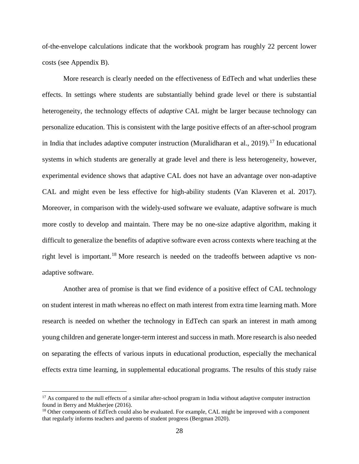of-the-envelope calculations indicate that the workbook program has roughly 22 percent lower costs (see Appendix B).

More research is clearly needed on the effectiveness of EdTech and what underlies these effects. In settings where students are substantially behind grade level or there is substantial heterogeneity, the technology effects of *adaptive* CAL might be larger because technology can personalize education. This is consistent with the large positive effects of an after-school program in India that includes adaptive computer instruction (Muralidharan et al., 2019).<sup>[17](#page-28-0)</sup> In educational systems in which students are generally at grade level and there is less heterogeneity, however, experimental evidence shows that adaptive CAL does not have an advantage over non-adaptive CAL and might even be less effective for high-ability students (Van Klaveren et al. 2017). Moreover, in comparison with the widely-used software we evaluate, adaptive software is much more costly to develop and maintain. There may be no one-size adaptive algorithm, making it difficult to generalize the benefits of adaptive software even across contexts where teaching at the right level is important.<sup>[18](#page-28-1)</sup> More research is needed on the tradeoffs between adaptive vs nonadaptive software.

Another area of promise is that we find evidence of a positive effect of CAL technology on student interest in math whereas no effect on math interest from extra time learning math. More research is needed on whether the technology in EdTech can spark an interest in math among young children and generate longer-term interest and success in math. More research is also needed on separating the effects of various inputs in educational production, especially the mechanical effects extra time learning, in supplemental educational programs. The results of this study raise

<span id="page-28-0"></span> $17$  As compared to the null effects of a similar after-school program in India without adaptive computer instruction found in Berry and Mukherjee (2016).

<span id="page-28-1"></span><sup>&</sup>lt;sup>18</sup> Other components of EdTech could also be evaluated. For example, CAL might be improved with a component that regularly informs teachers and parents of student progress (Bergman 2020).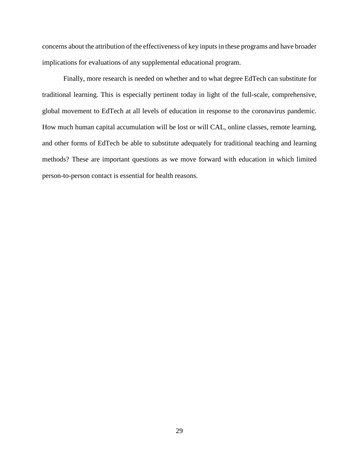concerns about the attribution of the effectiveness of key inputs in these programs and have broader implications for evaluations of any supplemental educational program.

Finally, more research is needed on whether and to what degree EdTech can substitute for traditional learning. This is especially pertinent today in light of the full-scale, comprehensive, global movement to EdTech at all levels of education in response to the coronavirus pandemic. How much human capital accumulation will be lost or will CAL, online classes, remote learning, and other forms of EdTech be able to substitute adequately for traditional teaching and learning methods? These are important questions as we move forward with education in which limited person-to-person contact is essential for health reasons.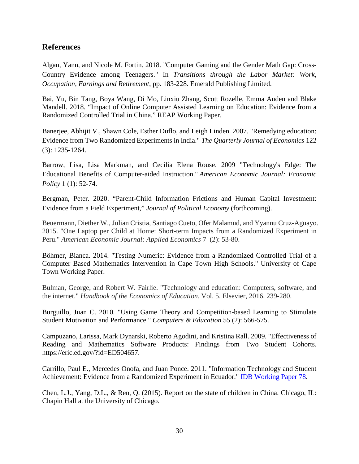# **References**

Algan, Yann, and Nicole M. Fortin. 2018. "Computer Gaming and the Gender Math Gap: Cross-Country Evidence among Teenagers." In *Transitions through the Labor Market: Work, Occupation, Earnings and Retirement*, pp. 183-228. Emerald Publishing Limited.

Bai, Yu, Bin Tang, Boya Wang, Di Mo, Linxiu Zhang, Scott Rozelle, Emma Auden and Blake Mandell. 2018. "Impact of Online Computer Assisted Learning on Education: Evidence from a Randomized Controlled Trial in China." REAP Working Paper.

Banerjee, Abhijit V., Shawn Cole, Esther Duflo, and Leigh Linden. 2007. "Remedying education: Evidence from Two Randomized Experiments in India." *The Quarterly Journal of Economics* 122 (3): 1235-1264.

Barrow, Lisa, Lisa Markman, and Cecilia Elena Rouse. 2009 "Technology's Edge: The Educational Benefits of Computer-aided Instruction." *American Economic Journal: Economic Policy* 1 (1): 52-74.

Bergman, Peter. 2020. "Parent-Child Information Frictions and Human Capital Investment: Evidence from a Field Experiment," *Journal of Political Economy* (forthcoming).

Beuermann, Diether W., Julian Cristia, Santiago Cueto, Ofer Malamud, and Yyannu Cruz-Aguayo. 2015. "One Laptop per Child at Home: Short-term Impacts from a Randomized Experiment in Peru." *American Economic Journal: Applied Economics* 7 (2): 53-80.

Böhmer, Bianca. 2014. "Testing Numeric: Evidence from a Randomized Controlled Trial of a Computer Based Mathematics Intervention in Cape Town High Schools." University of Cape Town Working Paper.

Bulman, George, and Robert W. Fairlie. "Technology and education: Computers, software, and the internet." *Handbook of the Economics of Education*. Vol. 5. Elsevier, 2016. 239-280.

Burguillo, Juan C. 2010. "Using Game Theory and Competition-based Learning to Stimulate Student Motivation and Performance." *Computers & Education* 55 (2): 566-575.

Campuzano, Larissa, Mark Dynarski, Roberto Agodini, and Kristina Rall. 2009. "Effectiveness of Reading and Mathematics Software Products: Findings from Two Student Cohorts. https://eric.ed.gov/?id=ED504657.

Carrillo, Paul E., Mercedes Onofa, and Juan Ponce. 2011. "Information Technology and Student Achievement: Evidence from a Randomized Experiment in Ecuador." [IDB Working Paper 78.](https://papers.ssrn.com/sol3/papers.cfm?abstract_id=1818756##)

Chen, L.J., Yang, D.L., & Ren, Q. (2015). Report on the state of children in China. Chicago, IL: Chapin Hall at the University of Chicago.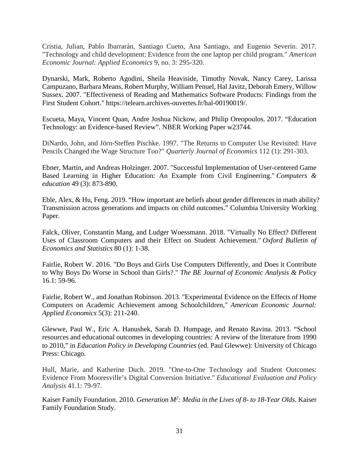Cristia, Julian, Pablo Ibarrarán, Santiago Cueto, Ana Santiago, and Eugenio Severín. 2017. "Technology and child development: Evidence from the one laptop per child program." *American Economic Journal: Applied Economics* 9, no. 3: 295-320.

Dynarski, Mark, Roberto Agodini, Sheila Heaviside, Timothy Novak, Nancy Carey, Larissa Campuzano, Barbara Means, [Robert Murphy,](https://telearn.archives-ouvertes.fr/search/index/q/*/authFullName_s/Robert+Murphy) [William Penuel,](https://telearn.archives-ouvertes.fr/search/index/q/*/authFullName_s/William+Penuel) [Hal Javitz,](https://telearn.archives-ouvertes.fr/search/index/q/*/authFullName_s/Hal+Javitz) [Deborah Emery,](https://telearn.archives-ouvertes.fr/search/index/q/*/authFullName_s/Deborah+Emery) [Willow](https://telearn.archives-ouvertes.fr/search/index/q/*/authFullName_s/Willow+Sussex)  [Sussex.](https://telearn.archives-ouvertes.fr/search/index/q/*/authFullName_s/Willow+Sussex) 2007. "Effectiveness of Reading and Mathematics Software Products: Findings from the First Student Cohort." https://telearn.archives-ouvertes.fr/hal-00190019/.

Escueta, Maya, Vincent Quan, Andre Joshua Nickow, and Philip Oreopoulos. 2017. "Education Technology: an Evidence-based Review". NBER Working Paper w23744.

DiNardo, John, and Jörn-Steffen Pischke. 1997. "The Returns to Computer Use Revisited: Have Pencils Changed the Wage Structure Too?" *Quarterly Journal of Economics* 112 (1): 291-303.

Ebner, Martin, and Andreas Holzinger. 2007. "Successful Implementation of User-centered Game Based Learning in Higher Education: An Example from Civil Engineering." *Computers & education* 49 (3): 873-890.

Eble, Alex, & Hu, Feng. 2019. "How important are beliefs about gender differences in math ability? Transmission across generations and impacts on child outcomes." Columbia University Working Paper.

Falck, Oliver, Constantin Mang, and Ludger Woessmann. 2018. "Virtually No Effect? Different Uses of Classroom Computers and their Effect on Student Achievement." *Oxford Bulletin of Economics and Statistics* 80 (1): 1-38.

Fairlie, Robert W. 2016. "Do Boys and Girls Use Computers Differently, and Does it Contribute to Why Boys Do Worse in School than Girls?." *The BE Journal of Economic Analysis & Policy* 16.1: 59-96.

Fairlie, Robert W., and Jonathan Robinson. 2013. "Experimental Evidence on the Effects of Home Computers on Academic Achievement among Schoolchildren," *American Economic Journal: Applied Economics* 5(3): 211-240.

Glewwe, Paul W., Eric A. Hanushek, Sarah D. Humpage, and Renato Ravina. 2013. "School resources and educational outcomes in developing countries: A review of the literature from 1990 to 2010," in *Education Policy in Developing Countries* (ed. Paul Glewwe): University of Chicago Press: Chicago.

Hull, Marie, and Katherine Duch. 2019. "One-to-One Technology and Student Outcomes: Evidence From Mooresville's Digital Conversion Initiative." *Educational Evaluation and Policy Analysis* 41.1: 79-97.

Kaiser Family Foundation. 2010. *Generation M2 : Media in the Lives of 8- to 18-Year Olds*. Kaiser Family Foundation Study.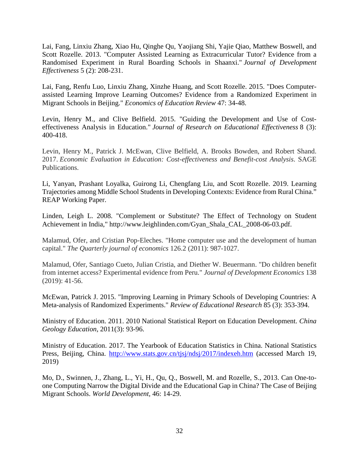Lai, Fang, Linxiu Zhang, Xiao Hu, Qinghe Qu, Yaojiang Shi, Yajie Qiao, Matthew Boswell, and Scott Rozelle. 2013. "Computer Assisted Learning as Extracurricular Tutor? Evidence from a Randomised Experiment in Rural Boarding Schools in Shaanxi." *Journal of Development Effectiveness* 5 (2): 208-231.

Lai, Fang, Renfu Luo, Linxiu Zhang, Xinzhe Huang, and Scott Rozelle. 2015. "Does Computerassisted Learning Improve Learning Outcomes? Evidence from a Randomized Experiment in Migrant Schools in Beijing." *Economics of Education Review* 47: 34-48.

Levin, Henry M., and Clive Belfield. 2015. "Guiding the Development and Use of Costeffectiveness Analysis in Education." *Journal of Research on Educational Effectiveness* 8 (3): 400-418.

Levin, Henry M., Patrick J. McEwan, Clive Belfield, A. Brooks Bowden, and Robert Shand. 2017. *Economic Evaluation in Education: Cost-effectiveness and Benefit-cost Analysis*. SAGE Publications.

Li, Yanyan, Prashant Loyalka, Guirong Li, Chengfang Liu, and Scott Rozelle. 2019. Learning Trajectories among Middle School Students in Developing Contexts: Evidence from Rural China." REAP Working Paper.

Linden, Leigh L. 2008. "Complement or Substitute? The Effect of Technology on Student Achievement in India," http://www.leighlinden.com/Gyan\_Shala\_CAL\_2008-06-03.pdf.

Malamud, Ofer, and Cristian Pop-Eleches. "Home computer use and the development of human capital." *The Quarterly journal of economics* 126.2 (2011): 987-1027.

Malamud, Ofer, Santiago Cueto, Julian Cristia, and Diether W. Beuermann. "Do children benefit from internet access? Experimental evidence from Peru." *Journal of Development Economics* 138 (2019): 41-56.

McEwan, Patrick J. 2015. "Improving Learning in Primary Schools of Developing Countries: A Meta-analysis of Randomized Experiments." *Review of Educational Research* 85 (3): 353-394.

Ministry of Education. 2011. 2010 National Statistical Report on Education Development. *China Geology Education*, 2011(3): 93-96.

Ministry of Education. 2017. The Yearbook of Education Statistics in China. National Statistics Press, Beijing, China. <http://www.stats.gov.cn/tjsj/ndsj/2017/indexeh.htm> (accessed March 19, 2019)

Mo, D., Swinnen, J., Zhang, L., Yi, H., Qu, Q., Boswell, M. and Rozelle, S., 2013. Can One-toone Computing Narrow the Digital Divide and the Educational Gap in China? The Case of Beijing Migrant Schools. *World Development,* 46: 14-29.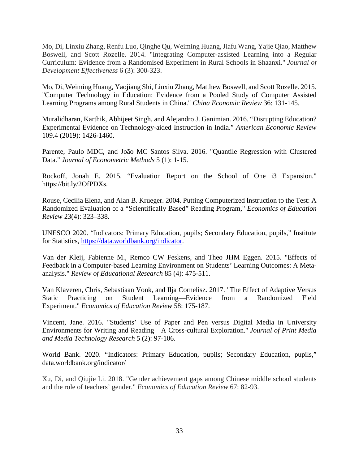Mo, Di, Linxiu Zhang, Renfu Luo, Qinghe Qu, Weiming Huang, Jiafu Wang, Yajie Qiao, Matthew Boswell, and Scott Rozelle. 2014. "Integrating Computer-assisted Learning into a Regular Curriculum: Evidence from a Randomised Experiment in Rural Schools in Shaanxi." *Journal of Development Effectiveness* 6 (3): 300-323.

Mo, Di, Weiming Huang, Yaojiang Shi, Linxiu Zhang, Matthew Boswell, and Scott Rozelle. 2015. "Computer Technology in Education: Evidence from a Pooled Study of Computer Assisted Learning Programs among Rural Students in China." *China Economic Review* 36: 131-145.

Muralidharan, Karthik, Abhijeet Singh, and Alejandro J. Ganimian. 2016. "Disrupting Education? Experimental Evidence on Technology-aided Instruction in India." *American Economic Review* 109.4 (2019): 1426-1460.

Parente, Paulo MDC, and João MC Santos Silva. 2016. "Quantile Regression with Clustered Data." *Journal of Econometric Methods* 5 (1): 1-15.

Rockoff, Jonah E. 2015. "Evaluation Report on the School of One i3 Expansion." https://bit.ly/2OfPDXs.

Rouse, Cecilia Elena, and Alan B. Krueger. 2004. Putting Computerized Instruction to the Test: A Randomized Evaluation of a "Scientifically Based" Reading Program," *Economics of Education Review* 23(4): 323–338.

UNESCO 2020. "Indicators: Primary Education, pupils; Secondary Education, pupils," Institute for Statistics, [https://data.worldbank.org/indicator.](https://data.worldbank.org/indicator)

Van der Kleij, Fabienne M., Remco CW Feskens, and Theo JHM Eggen. 2015. "Effects of Feedback in a Computer-based Learning Environment on Students' Learning Outcomes: A Metaanalysis." *Review of Educational Research* 85 (4): 475-511.

Van Klaveren, Chris, Sebastiaan Vonk, and Ilja Cornelisz. 2017. "The Effect of Adaptive Versus Static Practicing on Student Learning—Evidence from a Randomized Field Experiment." *Economics of Education Review* 58: 175-187.

Vincent, Jane. 2016. "Students' Use of Paper and Pen versus Digital Media in University Environments for Writing and Reading—A Cross-cultural Exploration." *Journal of Print Media and Media Technology Research* 5 (2): 97-106.

World Bank. 2020. "Indicators: Primary Education, pupils; Secondary Education, pupils," data.worldbank.org/indicator/

Xu, Di, and Qiujie Li. 2018. "Gender achievement gaps among Chinese middle school students and the role of teachers' gender." *Economics of Education Review* 67: 82-93.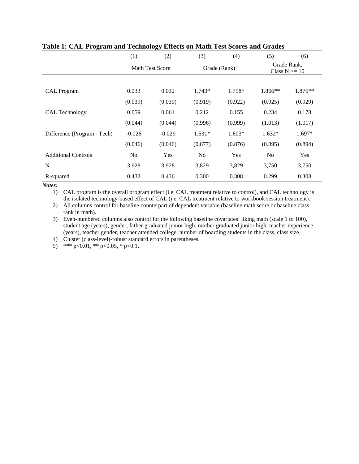|                             | (1)            | (2)             | (3)            | (4)          | (5)                              | (6)      |
|-----------------------------|----------------|-----------------|----------------|--------------|----------------------------------|----------|
|                             |                | Math Test Score |                | Grade (Rank) | Grade Rank,<br>Class $N \geq 10$ |          |
|                             |                |                 |                |              |                                  |          |
| <b>CAL Program</b>          | 0.033          | 0.032           | $1.743*$       | 1.758*       | $1.866**$                        | 1.876**  |
|                             | (0.039)        | (0.039)         | (0.919)        | (0.922)      | (0.925)                          | (0.929)  |
| CAL Technology              | 0.059          | 0.061           | 0.212          | 0.155        | 0.234                            | 0.178    |
|                             | (0.044)        | (0.044)         | (0.996)        | (0.999)      | (1.013)                          | (1.017)  |
| Difference (Program - Tech) | $-0.026$       | $-0.029$        | $1.531*$       | $1.603*$     | $1.632*$                         | $1.697*$ |
|                             | (0.046)        | (0.046)         | (0.877)        | (0.876)      | (0.895)                          | (0.894)  |
| <b>Additional Controls</b>  | N <sub>0</sub> | Yes             | N <sub>o</sub> | Yes          | N <sub>0</sub>                   | Yes      |
| N                           | 3,928          | 3,928           | 3,829          | 3,829        | 3,750                            | 3,750    |
| R-squared                   | 0.432          | 0.436           | 0.300          | 0.308        | 0.299                            | 0.308    |

### **Table 1: CAL Program and Technology Effects on Math Test Scores and Grades**

*Notes:*

1) CAL program is the overall program effect (i.e. CAL treatment relative to control), and CAL technology is the isolated technology-based effect of CAL (i.e. CAL treatment relative to workbook session treatment).

2) All columns control for baseline counterpart of dependent variable (baseline math score or baseline class rank in math).

3) Even-numbered columns also control for the following baseline covariates: liking math (scale 1 to 100), student age (years), gender, father graduated junior high, mother graduated junior high, teacher experience (years), teacher gender, teacher attended college, number of boarding students in the class, class size.

4) Cluster (class-level)-robust standard errors in parentheses.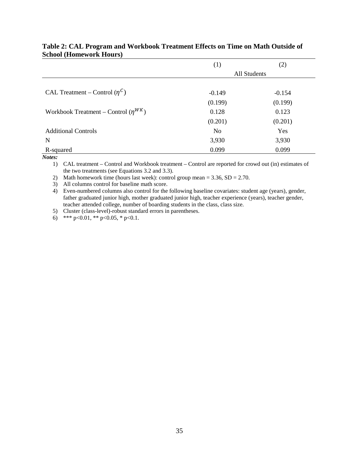|                                            | $\left(1\right)$ | (2)      |
|--------------------------------------------|------------------|----------|
|                                            | All Students     |          |
|                                            |                  |          |
| CAL Treatment – Control $(\eta^C)$         | $-0.149$         | $-0.154$ |
|                                            | (0.199)          | (0.199)  |
| Workbook Treatment – Control $(\eta^{WK})$ | 0.128            | 0.123    |
|                                            | (0.201)          | (0.201)  |
| <b>Additional Controls</b>                 | N <sub>o</sub>   | Yes      |
| N                                          | 3,930            | 3,930    |
| R-squared                                  | 0.099            | 0.099    |

### **Table 2: CAL Program and Workbook Treatment Effects on Time on Math Outside of School (Homework Hours)**

*Notes:*

1) CAL treatment – Control and Workbook treatment – Control are reported for crowd out (in) estimates of the two treatments (see Equations 3.2 and 3.3).

2) Math homework time (hours last week): control group mean =  $3.36$ , SD =  $2.70$ .

3) All columns control for baseline math score.

4) Even-numbered columns also control for the following baseline covariates: student age (years), gender, father graduated junior high, mother graduated junior high, teacher experience (years), teacher gender, teacher attended college, number of boarding students in the class, class size.

5) Cluster (class-level)-robust standard errors in parentheses.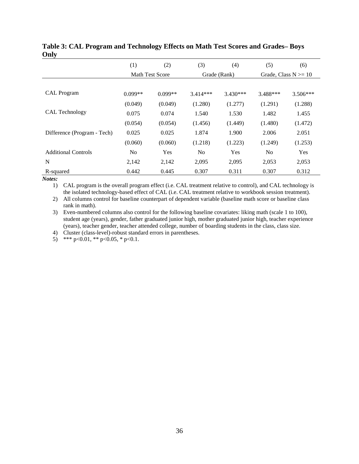|                             | (1)            | (2)                    | (3)            | (4)          | (5)                     | (6)        |
|-----------------------------|----------------|------------------------|----------------|--------------|-------------------------|------------|
|                             |                | <b>Math Test Score</b> |                | Grade (Rank) | Grade, Class $N \ge 10$ |            |
|                             |                |                        |                |              |                         |            |
| <b>CAL</b> Program          | $0.099**$      | $0.099**$              | $3.414***$     | $3.430***$   | 3.488***                | $3.506***$ |
|                             | (0.049)        | (0.049)                | (1.280)        | (1.277)      | (1.291)                 | (1.288)    |
| CAL Technology              | 0.075          | 0.074                  | 1.540          | 1.530        | 1.482                   | 1.455      |
|                             | (0.054)        | (0.054)                | (1.456)        | (1.449)      | (1.480)                 | (1.472)    |
| Difference (Program - Tech) | 0.025          | 0.025                  | 1.874          | 1.900        | 2.006                   | 2.051      |
|                             | (0.060)        | (0.060)                | (1.218)        | (1.223)      | (1.249)                 | (1.253)    |
| <b>Additional Controls</b>  | N <sub>0</sub> | Yes                    | N <sub>0</sub> | Yes          | No                      | Yes        |
| N                           | 2,142          | 2,142                  | 2,095          | 2,095        | 2,053                   | 2,053      |
| R-squared                   | 0.442          | 0.445                  | 0.307          | 0.311        | 0.307                   | 0.312      |

### **Table 3: CAL Program and Technology Effects on Math Test Scores and Grades– Boys Only**

*Notes:*

1) CAL program is the overall program effect (i.e. CAL treatment relative to control), and CAL technology is the isolated technology-based effect of CAL (i.e. CAL treatment relative to workbook session treatment).

2) All columns control for baseline counterpart of dependent variable (baseline math score or baseline class rank in math).

3) Even-numbered columns also control for the following baseline covariates: liking math (scale 1 to 100), student age (years), gender, father graduated junior high, mother graduated junior high, teacher experience (years), teacher gender, teacher attended college, number of boarding students in the class, class size.

4) Cluster (class-level)-robust standard errors in parentheses.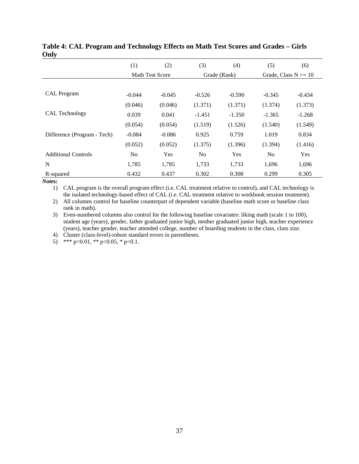|                             | (1)            | (2)                    | (3)            | (4)          | (5)            | (6)                     |
|-----------------------------|----------------|------------------------|----------------|--------------|----------------|-------------------------|
|                             |                | <b>Math Test Score</b> |                | Grade (Rank) |                | Grade, Class $N \ge 10$ |
|                             |                |                        |                |              |                |                         |
| <b>CAL</b> Program          | $-0.044$       | $-0.045$               | $-0.526$       | $-0.590$     | $-0.345$       | $-0.434$                |
|                             | (0.046)        | (0.046)                | (1.371)        | (1.371)      | (1.374)        | (1.373)                 |
| CAL Technology              | 0.039          | 0.041                  | $-1.451$       | $-1.350$     | $-1.365$       | $-1.268$                |
|                             | (0.054)        | (0.054)                | (1.519)        | (1.526)      | (1.540)        | (1.549)                 |
| Difference (Program - Tech) | $-0.084$       | $-0.086$               | 0.925          | 0.759        | 1.019          | 0.834                   |
|                             | (0.052)        | (0.052)                | (1.375)        | (1.396)      | (1.394)        | (1.416)                 |
| <b>Additional Controls</b>  | N <sub>0</sub> | Yes                    | N <sub>0</sub> | Yes          | N <sub>0</sub> | Yes                     |
| N                           | 1,785          | 1,785                  | 1,733          | 1,733        | 1,696          | 1,696                   |
| R-squared                   | 0.432          | 0.437                  | 0.302          | 0.308        | 0.299          | 0.305                   |

### **Table 4: CAL Program and Technology Effects on Math Test Scores and Grades – Girls Only**

*Notes:*

1) CAL program is the overall program effect (i.e. CAL treatment relative to control), and CAL technology is the isolated technology-based effect of CAL (i.e. CAL treatment relative to workbook session treatment).

2) All columns control for baseline counterpart of dependent variable (baseline math score or baseline class rank in math).

3) Even-numbered columns also control for the following baseline covariates: liking math (scale 1 to 100), student age (years), gender, father graduated junior high, mother graduated junior high, teacher experience (years), teacher gender, teacher attended college, number of boarding students in the class, class size.

4) Cluster (class-level)-robust standard errors in parentheses.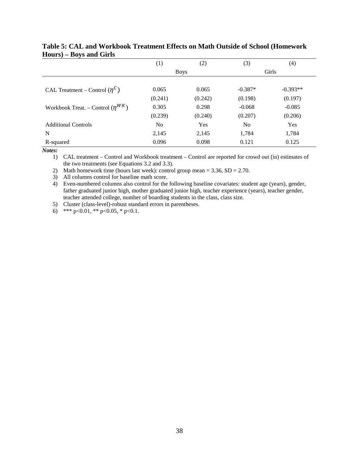|                                         | $\left(1\right)$ | (2)         | (3)            | (4)        |
|-----------------------------------------|------------------|-------------|----------------|------------|
|                                         |                  | <b>Boys</b> |                | Girls      |
|                                         |                  |             |                |            |
| CAL Treatment – Control $(\eta^C)$      | 0.065            | 0.065       | $-0.387*$      | $-0.393**$ |
|                                         | (0.241)          | (0.242)     | (0.198)        | (0.197)    |
| Workbook Treat. – Control $(\eta^{WK})$ | 0.305            | 0.298       | $-0.068$       | $-0.085$   |
|                                         | (0.239)          | (0.240)     | (0.207)        | (0.206)    |
| <b>Additional Controls</b>              | No               | Yes         | N <sub>0</sub> | Yes        |
| N                                       | 2,145            | 2,145       | 1,784          | 1,784      |
| R-squared                               | 0.096            | 0.098       | 0.121          | 0.125      |

### **Table 5: CAL and Workbook Treatment Effects on Math Outside of School (Homework Hours) – Boys and Girls**

*Notes:*

1) CAL treatment – Control and Workbook treatment – Control are reported for crowd out (in) estimates of the two treatments (see Equations 3.2 and 3.3).

2) Math homework time (hours last week): control group mean  $= 3.36$ , SD  $= 2.70$ .

3) All columns control for baseline math score.

4) Even-numbered columns also control for the following baseline covariates: student age (years), gender, father graduated junior high, mother graduated junior high, teacher experience (years), teacher gender, teacher attended college, number of boarding students in the class, class size.

5) Cluster (class-level)-robust standard errors in parentheses.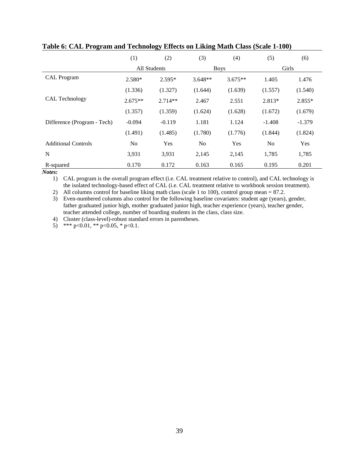|                             | (1)            | (2)                 | (3)       | (4)         | (5)            | (6)      |
|-----------------------------|----------------|---------------------|-----------|-------------|----------------|----------|
|                             |                | <b>All Students</b> |           | <b>Boys</b> | Girls          |          |
| <b>CAL Program</b>          | $2.580*$       | $2.595*$            | $3.648**$ | $3.675**$   | 1.405          | 1.476    |
|                             | (1.336)        | (1.327)             | (1.644)   | (1.639)     | (1.557)        | (1.540)  |
| CAL Technology              | $2.675**$      | $2.714**$           | 2.467     | 2.551       | 2.813*         | $2.855*$ |
|                             | (1.357)        | (1.359)             | (1.624)   | (1.628)     | (1.672)        | (1.679)  |
| Difference (Program - Tech) | $-0.094$       | $-0.119$            | 1.181     | 1.124       | $-1.408$       | $-1.379$ |
|                             | (1.491)        | (1.485)             | (1.780)   | (1.776)     | (1.844)        | (1.824)  |
| <b>Additional Controls</b>  | N <sub>0</sub> | Yes                 | No        | Yes         | N <sub>o</sub> | Yes      |
| N                           | 3,931          | 3,931               | 2,145     | 2,145       | 1,785          | 1,785    |
| R-squared                   | 0.170          | 0.172               | 0.163     | 0.165       | 0.195          | 0.201    |

#### **Table 6: CAL Program and Technology Effects on Liking Math Class (Scale 1-100)**

*Notes:*

1) CAL program is the overall program effect (i.e. CAL treatment relative to control), and CAL technology is the isolated technology-based effect of CAL (i.e. CAL treatment relative to workbook session treatment).

2) All columns control for baseline liking math class (scale 1 to 100), control group mean = 87.2.

3) Even-numbered columns also control for the following baseline covariates: student age (years), gender, father graduated junior high, mother graduated junior high, teacher experience (years), teacher gender, teacher attended college, number of boarding students in the class, class size.

4) Cluster (class-level)-robust standard errors in parentheses.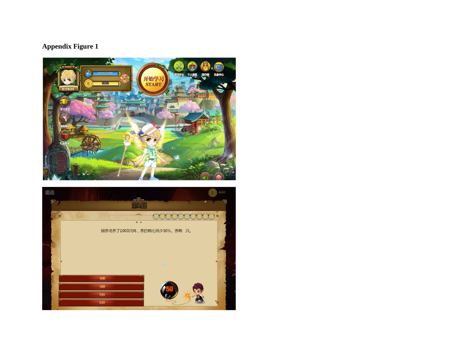# **Appendix Figure 1**



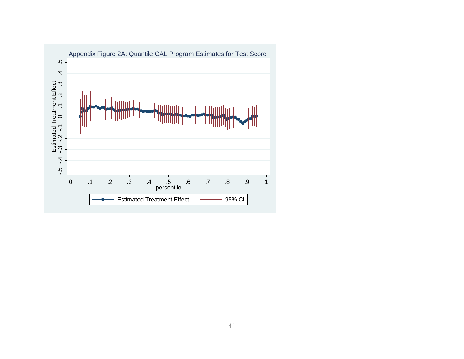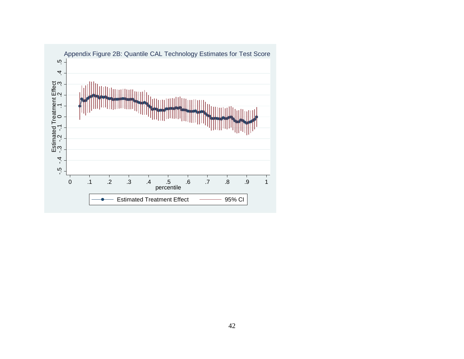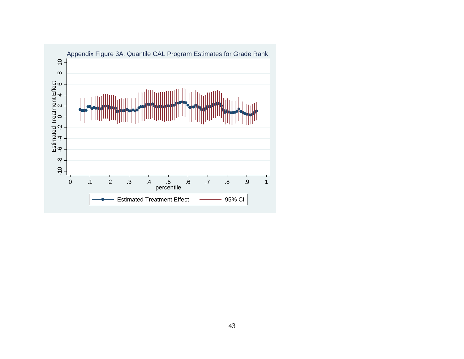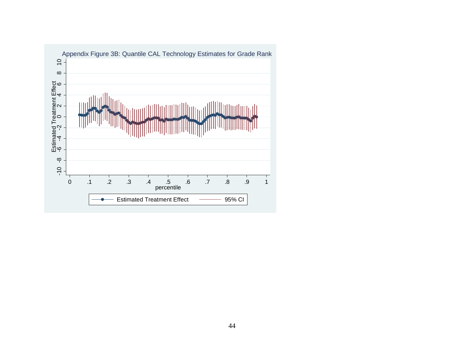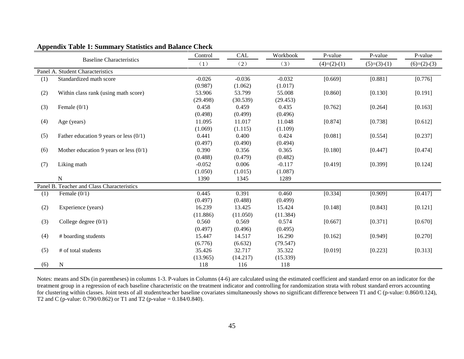|     |                                            | Control  | <b>CAL</b> | Workbook | P-value       | P-value       | P-value       |
|-----|--------------------------------------------|----------|------------|----------|---------------|---------------|---------------|
|     | <b>Baseline Characteristics</b>            | (1)      | (2)        | (3)      | $(4)=(2)-(1)$ | $(5)=(3)-(1)$ | $(6)=(2)-(3)$ |
|     | Panel A. Student Characteristics           |          |            |          |               |               |               |
| (1) | Standardized math score                    | $-0.026$ | $-0.036$   | $-0.032$ | [0.669]       | [0.881]       | [0.776]       |
|     |                                            | (0.987)  | (1.062)    | (1.017)  |               |               |               |
| (2) | Within class rank (using math score)       | 53.906   | 53.799     | 55.008   | [0.860]       | [0.130]       | [0.191]       |
|     |                                            | (29.498) | (30.539)   | (29.453) |               |               |               |
| (3) | Female $(0/1)$                             | 0.458    | 0.459      | 0.435    | [0.762]       | [0.264]       | [0.163]       |
|     |                                            | (0.498)  | (0.499)    | (0.496)  |               |               |               |
| (4) | Age (years)                                | 11.095   | 11.017     | 11.048   | [0.874]       | [0.738]       | [0.612]       |
|     |                                            | (1.069)  | (1.115)    | (1.109)  |               |               |               |
| (5) | Father education 9 years or less $(0/1)$   | 0.441    | 0.400      | 0.424    | [0.081]       | [0.554]       | [0.237]       |
|     |                                            | (0.497)  | (0.490)    | (0.494)  |               |               |               |
| (6) | Mother education 9 years or less $(0/1)$   | 0.390    | 0.356      | 0.365    | [0.180]       | [0.447]       | [0.474]       |
|     |                                            | (0.488)  | (0.479)    | (0.482)  |               |               |               |
| (7) | Liking math                                | $-0.052$ | 0.006      | $-0.117$ | [0.419]       | [0.399]       | [0.124]       |
|     |                                            | (1.050)  | (1.015)    | (1.087)  |               |               |               |
|     | $\mathbf N$                                | 1390     | 1345       | 1289     |               |               |               |
|     | Panel B. Teacher and Class Characteristics |          |            |          |               |               |               |
| (1) | Female $(0/1)$                             | 0.445    | 0.391      | 0.460    | [0.334]       | [0.909]       | [0.417]       |
|     |                                            | (0.497)  | (0.488)    | (0.499)  |               |               |               |
| (2) | Experience (years)                         | 16.239   | 13.425     | 15.424   | [0.148]       | [0.843]       | [0.121]       |
|     |                                            | (11.886) | (11.050)   | (11.384) |               |               |               |
| (3) | College degree $(0/1)$                     | 0.560    | 0.569      | 0.574    | [0.667]       | [0.371]       | [0.670]       |
|     |                                            | (0.497)  | (0.496)    | (0.495)  |               |               |               |
| (4) | # boarding students                        | 15.447   | 14.517     | 16.290   | [0.162]       | [0.949]       | [0.270]       |
|     |                                            | (6.776)  | (6.632)    | (79.547) |               |               |               |
| (5) | # of total students                        | 35.426   | 32.717     | 35.322   | [0.019]       | [0.223]       | [0.313]       |
|     |                                            | (13.965) | (14.217)   | (15.339) |               |               |               |
| (6) | N                                          | 118      | 116        | 118      |               |               |               |

### **Appendix Table 1: Summary Statistics and Balance Check**

Notes: means and SDs (in parentheses) in columns 1-3. P-values in Columns (4-6) are calculated using the estimated coefficient and standard error on an indicator for the treatment group in a regression of each baseline characteristic on the treatment indicator and controlling for randomization strata with robust standard errors accounting for clustering within classes. Joint tests of all student/teacher baseline covariates simultaneously shows no significant difference between T1 and C (p-value: 0.860/0.124), T2 and C (p-value: 0.790/0.862) or T1 and T2 (p-value = 0.184/0.840).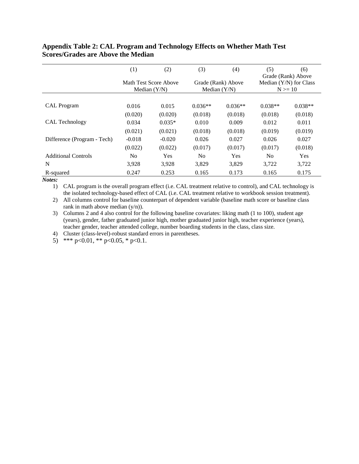|                             | (1)                                     | (2)        | (3)            | (4)                                  | (5)                                  | (6)<br>Grade (Rank) Above |
|-----------------------------|-----------------------------------------|------------|----------------|--------------------------------------|--------------------------------------|---------------------------|
|                             | Math Test Score Above<br>Median $(Y/N)$ |            |                | Grade (Rank) Above<br>Median $(Y/N)$ | Median (Y/N) for Class<br>$N \ge 10$ |                           |
|                             |                                         |            |                |                                      |                                      |                           |
| <b>CAL</b> Program          | 0.016                                   | 0.015      | $0.036**$      | $0.036**$                            | $0.038**$                            | $0.038**$                 |
|                             | (0.020)                                 | (0.020)    | (0.018)        | (0.018)                              | (0.018)                              | (0.018)                   |
| CAL Technology              | 0.034                                   | $0.035*$   | 0.010          | 0.009                                | 0.012                                | 0.011                     |
|                             | (0.021)                                 | (0.021)    | (0.018)        | (0.018)                              | (0.019)                              | (0.019)                   |
| Difference (Program - Tech) | $-0.018$                                | $-0.020$   | 0.026          | 0.027                                | 0.026                                | 0.027                     |
|                             | (0.022)                                 | (0.022)    | (0.017)        | (0.017)                              | (0.017)                              | (0.018)                   |
| <b>Additional Controls</b>  | No                                      | <b>Yes</b> | N <sub>0</sub> | Yes                                  | N <sub>0</sub>                       | <b>Yes</b>                |
| N                           | 3,928                                   | 3,928      | 3,829          | 3,829                                | 3.722                                | 3,722                     |
| R-squared                   | 0.247                                   | 0.253      | 0.165          | 0.173                                | 0.165                                | 0.175                     |

### **Appendix Table 2: CAL Program and Technology Effects on Whether Math Test Scores/Grades are Above the Median**

*Notes:*

1) CAL program is the overall program effect (i.e. CAL treatment relative to control), and CAL technology is the isolated technology-based effect of CAL (i.e. CAL treatment relative to workbook session treatment).

2) All columns control for baseline counterpart of dependent variable (baseline math score or baseline class rank in math above median (y/n)).

3) Columns 2 and 4 also control for the following baseline covariates: liking math (1 to 100), student age (years), gender, father graduated junior high, mother graduated junior high, teacher experience (years), teacher gender, teacher attended college, number boarding students in the class, class size.

4) Cluster (class-level)-robust standard errors in parentheses.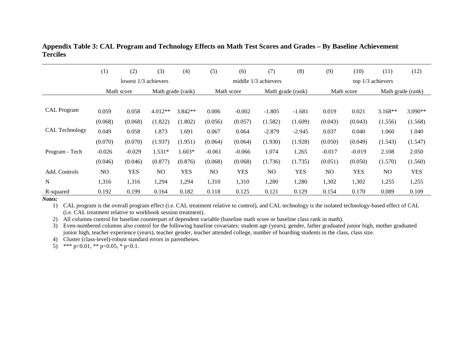|                    | (1)      | (2)                  | (3)               | (4)        | (5)      | (6)        | (7)                    | (8)               | (9)      | (10)       | (11)              | (12)              |
|--------------------|----------|----------------------|-------------------|------------|----------|------------|------------------------|-------------------|----------|------------|-------------------|-------------------|
|                    |          | lowest 1/3 achievers |                   |            |          |            | middle $1/3$ achievers |                   |          |            | top 1/3 achievers |                   |
|                    |          | Math score           | Math grade (rank) |            |          | Math score |                        | Math grade (rank) |          | Math score |                   | Math grade (rank) |
|                    |          |                      |                   |            |          |            |                        |                   |          |            |                   |                   |
| <b>CAL Program</b> | 0.059    | 0.058                | $4.012**$         | $3.842**$  | 0.006    | $-0.002$   | $-1.805$               | $-1.681$          | 0.019    | 0.021      | $3.168**$         | $3.090**$         |
|                    | (0.068)  | (0.068)              | (1.822)           | (1.802)    | (0.056)  | (0.057)    | (1.582)                | (1.609)           | (0.043)  | (0.043)    | (1.556)           | (1.568)           |
| CAL Technology     | 0.049    | 0.058                | 1.873             | 1.691      | 0.067    | 0.064      | $-2.879$               | $-2.945$          | 0.037    | 0.040      | 1.060             | 1.040             |
|                    | (0.070)  | (0.070)              | (1.937)           | (1.951)    | (0.064)  | (0.064)    | (1.930)                | (1.928)           | (0.050)  | (0.049)    | (1.543)           | (1.547)           |
| Program - Tech     | $-0.026$ | $-0.029$             | $1.531*$          | 1.603*     | $-0.061$ | $-0.066$   | 1.074                  | 1.265             | $-0.017$ | $-0.019$   | 2.108             | 2.050             |
|                    | (0.046)  | (0.046)              | (0.877)           | (0.876)    | (0.068)  | (0.068)    | (1.736)                | (1.735)           | (0.051)  | (0.050)    | (1.570)           | (1.560)           |
| Add. Controls      | NO       | <b>YES</b>           | NO                | <b>YES</b> | NO.      | <b>YES</b> | N <sub>O</sub>         | <b>YES</b>        | NO.      | <b>YES</b> | N <sub>O</sub>    | <b>YES</b>        |
| N                  | 1,316    | 1,316                | 1,294             | 1,294      | 1,310    | 1,310      | 1,280                  | 1,280             | 1,302    | 1,302      | 1,255             | 1,255             |
| R-squared          | 0.192    | 0.199                | 0.164             | 0.182      | 0.118    | 0.125      | 0.121                  | 0.129             | 0.154    | 0.170      | 0.089             | 0.109             |

**Appendix Table 3: CAL Program and Technology Effects on Math Test Scores and Grades – By Baseline Achievement Terciles**

*Notes:*

1) CAL program is the overall program effect (i.e. CAL treatment relative to control), and CAL technology is the isolated technology-based effect of CAL (i.e. CAL treatment relative to workbook session treatment).

2) All columns control for baseline counterpart of dependent variable (baseline math score or baseline class rank in math).

3) Even-numbered columns also control for the following baseline covariates: student age (years), gender, father graduated junior high, mother graduated junior high, teacher experience (years), teacher gender, teacher attended college, number of boarding students in the class, class size.

4) Cluster (class-level)-robust standard errors in parentheses.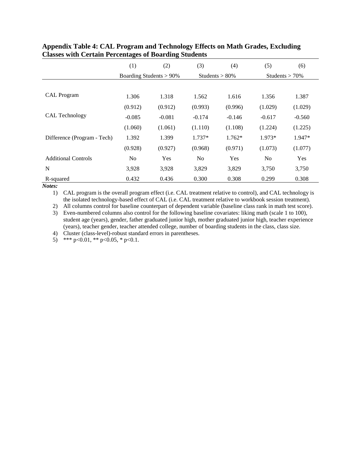|                             | (1)                        | (2)      | (3)            | (4)               | (5)               | (6)      |
|-----------------------------|----------------------------|----------|----------------|-------------------|-------------------|----------|
|                             | Boarding Students $> 90\%$ |          |                | Students $> 80\%$ | Students $> 70\%$ |          |
|                             |                            |          |                |                   |                   |          |
| <b>CAL</b> Program          | 1.306                      | 1.318    | 1.562          | 1.616             | 1.356             | 1.387    |
|                             | (0.912)                    | (0.912)  | (0.993)        | (0.996)           | (1.029)           | (1.029)  |
| <b>CAL Technology</b>       | $-0.085$                   | $-0.081$ | $-0.174$       | $-0.146$          | $-0.617$          | $-0.560$ |
|                             | (1.060)                    | (1.061)  | (1.110)        | (1.108)           | (1.224)           | (1.225)  |
| Difference (Program - Tech) | 1.392                      | 1.399    | $1.737*$       | $1.762*$          | 1.973*            | 1.947*   |
|                             | (0.928)                    | (0.927)  | (0.968)        | (0.971)           | (1.073)           | (1.077)  |
| <b>Additional Controls</b>  | N <sub>0</sub>             | Yes      | N <sub>0</sub> | Yes               | N <sub>0</sub>    | Yes      |
| N                           | 3,928                      | 3,928    | 3,829          | 3,829             | 3,750             | 3,750    |
| R-squared                   | 0.432                      | 0.436    | 0.300          | 0.308             | 0.299             | 0.308    |

### **Appendix Table 4: CAL Program and Technology Effects on Math Grades, Excluding Classes with Certain Percentages of Boarding Students**

*Notes:*

1) CAL program is the overall program effect (i.e. CAL treatment relative to control), and CAL technology is the isolated technology-based effect of CAL (i.e. CAL treatment relative to workbook session treatment).

2) All columns control for baseline counterpart of dependent variable (baseline class rank in math test score).

3) Even-numbered columns also control for the following baseline covariates: liking math (scale 1 to 100), student age (years), gender, father graduated junior high, mother graduated junior high, teacher experience (years), teacher gender, teacher attended college, number of boarding students in the class, class size.

4) Cluster (class-level)-robust standard errors in parentheses.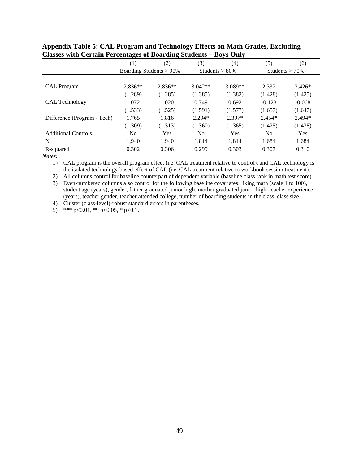|                             | $\left(1\right)$           | (2)       | (3)            | (4)               | (5)      | (6)               |
|-----------------------------|----------------------------|-----------|----------------|-------------------|----------|-------------------|
|                             | Boarding Students $> 90\%$ |           |                | Students $> 80\%$ |          | Students $> 70\%$ |
|                             |                            |           |                |                   |          |                   |
| <b>CAL</b> Program          | $2.836**$                  | $2.836**$ | $3.042**$      | $3.089**$         | 2.332    | $2.426*$          |
|                             | (1.289)                    | (1.285)   | (1.385)        | (1.382)           | (1.428)  | (1.425)           |
| CAL Technology              | 1.072                      | 1.020     | 0.749          | 0.692             | $-0.123$ | $-0.068$          |
|                             | (1.533)                    | (1.525)   | (1.591)        | (1.577)           | (1.657)  | (1.647)           |
| Difference (Program - Tech) | 1.765                      | 1.816     | $2.294*$       | $2.397*$          | $2.454*$ | 2.494*            |
|                             | (1.309)                    | (1.313)   | (1.360)        | (1.365)           | (1.425)  | (1.438)           |
| <b>Additional Controls</b>  | N <sub>0</sub>             | Yes       | N <sub>0</sub> | Yes               | No       | Yes               |
| N                           | 1,940                      | 1.940     | 1,814          | 1,814             | 1,684    | 1,684             |
| R-squared                   | 0.302                      | 0.306     | 0.299          | 0.303             | 0.307    | 0.310             |

| Appendix Table 5: CAL Program and Technology Effects on Math Grades, Excluding |
|--------------------------------------------------------------------------------|
| Classes with Certain Percentages of Boarding Students – Boys Only              |

*Notes:*

1) CAL program is the overall program effect (i.e. CAL treatment relative to control), and CAL technology is the isolated technology-based effect of CAL (i.e. CAL treatment relative to workbook session treatment).

2) All columns control for baseline counterpart of dependent variable (baseline class rank in math test score).

3) Even-numbered columns also control for the following baseline covariates: liking math (scale 1 to 100), student age (years), gender, father graduated junior high, mother graduated junior high, teacher experience (years), teacher gender, teacher attended college, number of boarding students in the class, class size.

4) Cluster (class-level)-robust standard errors in parentheses.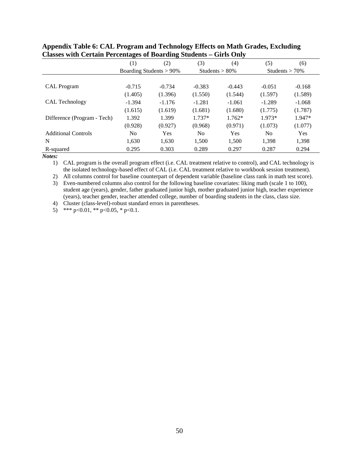|                             | (1)                     | (2)        | (3)               | (4)      | (5)               | (6)        |
|-----------------------------|-------------------------|------------|-------------------|----------|-------------------|------------|
|                             | Boarding Students > 90% |            | Students $> 80\%$ |          | Students $> 70\%$ |            |
|                             |                         |            |                   |          |                   |            |
| <b>CAL</b> Program          | $-0.715$                | $-0.734$   | $-0.383$          | $-0.443$ | $-0.051$          | $-0.168$   |
|                             | (1.405)                 | (1.396)    | (1.550)           | (1.544)  | (1.597)           | (1.589)    |
| <b>CAL Technology</b>       | $-1.394$                | $-1.176$   | $-1.281$          | $-1.061$ | $-1.289$          | $-1.068$   |
|                             | (1.615)                 | (1.619)    | (1.681)           | (1.680)  | (1.775)           | (1.787)    |
| Difference (Program - Tech) | 1.392                   | 1.399      | $1.737*$          | $1.762*$ | 1.973*            | 1.947*     |
|                             | (0.928)                 | (0.927)    | (0.968)           | (0.971)  | (1.073)           | (1.077)    |
| <b>Additional Controls</b>  | N <sub>0</sub>          | <b>Yes</b> | N <sub>0</sub>    | Yes      | N <sub>0</sub>    | <b>Yes</b> |
| N                           | 1.630                   | 1,630      | 1.500             | 1,500    | 1.398             | 1,398      |
| R-squared                   | 0.295                   | 0.303      | 0.289             | 0.297    | 0.287             | 0.294      |

| Appendix Table 6: CAL Program and Technology Effects on Math Grades, Excluding |
|--------------------------------------------------------------------------------|
| Classes with Certain Percentages of Boarding Students – Girls Only             |

*Notes:*

1) CAL program is the overall program effect (i.e. CAL treatment relative to control), and CAL technology is the isolated technology-based effect of CAL (i.e. CAL treatment relative to workbook session treatment).

2) All columns control for baseline counterpart of dependent variable (baseline class rank in math test score).

3) Even-numbered columns also control for the following baseline covariates: liking math (scale 1 to 100), student age (years), gender, father graduated junior high, mother graduated junior high, teacher experience (years), teacher gender, teacher attended college, number of boarding students in the class, class size.

4) Cluster (class-level)-robust standard errors in parentheses.